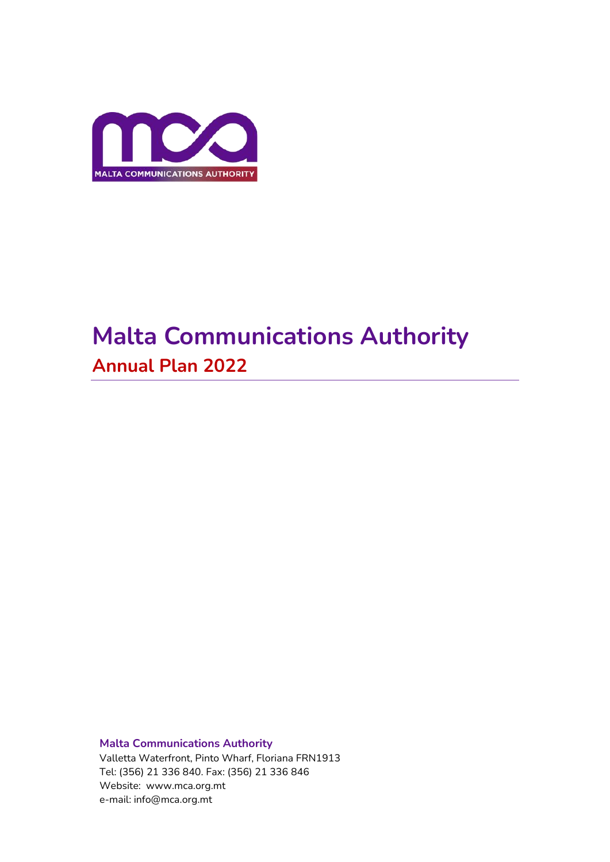

# **Malta Communications Authority Annual Plan 2022**

**Malta Communications Authority**  Valletta Waterfront, Pinto Wharf, Floriana FRN1913 Tel: (356) 21 336 840. Fax: (356) 21 336 846 Website: www.mca.org.mt e-mail: info@mca.org.mt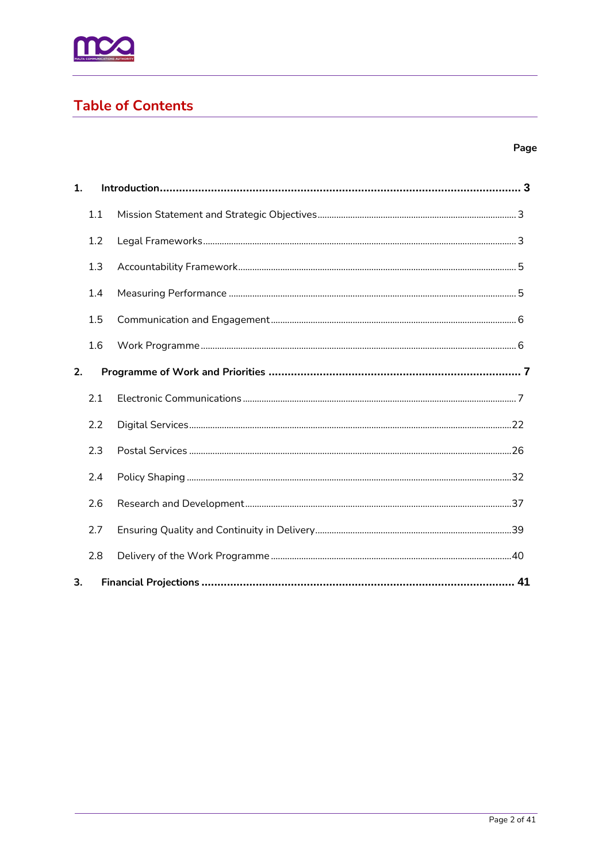

# **Table of Contents**

# Page

| 1. |     |  |
|----|-----|--|
|    | 1.1 |  |
|    | 1.2 |  |
|    | 1.3 |  |
|    | 1.4 |  |
|    | 1.5 |  |
|    | 1.6 |  |
| 2. |     |  |
|    | 2.1 |  |
|    | 2.2 |  |
|    | 2.3 |  |
|    | 2.4 |  |
|    | 2.6 |  |
|    | 2.7 |  |
|    | 2.8 |  |
| 3. |     |  |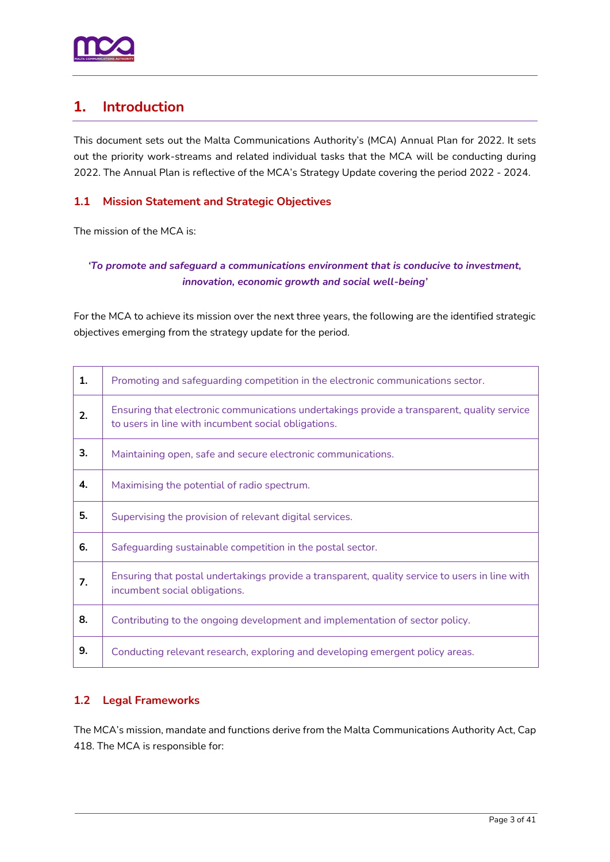

# <span id="page-2-0"></span>**1. Introduction**

This document sets out the Malta Communications Authority's (MCA) Annual Plan for 2022. It sets out the priority work-streams and related individual tasks that the MCA will be conducting during 2022. The Annual Plan is reflective of the MCA's Strategy Update covering the period 2022 - 2024.

# <span id="page-2-1"></span>**1.1 Mission Statement and Strategic Objectives**

The mission of the MCA is:

# *'To promote and safeguard a communications environment that is conducive to investment, innovation, economic growth and social well-being'*

For the MCA to achieve its mission over the next three years, the following are the identified strategic objectives emerging from the strategy update for the period.

| 1. | Promoting and safeguarding competition in the electronic communications sector.                                                                    |
|----|----------------------------------------------------------------------------------------------------------------------------------------------------|
| 2. | Ensuring that electronic communications undertakings provide a transparent, quality service<br>to users in line with incumbent social obligations. |
| 3. | Maintaining open, safe and secure electronic communications.                                                                                       |
| 4. | Maximising the potential of radio spectrum.                                                                                                        |
| 5. | Supervising the provision of relevant digital services.                                                                                            |
| 6. | Safeguarding sustainable competition in the postal sector.                                                                                         |
| 7. | Ensuring that postal undertakings provide a transparent, quality service to users in line with<br>incumbent social obligations.                    |
| 8. | Contributing to the ongoing development and implementation of sector policy.                                                                       |
| 9. | Conducting relevant research, exploring and developing emergent policy areas.                                                                      |

# <span id="page-2-2"></span>**1.2 Legal Frameworks**

The MCA's mission, mandate and functions derive from the Malta Communications Authority Act, Cap 418. The MCA is responsible for: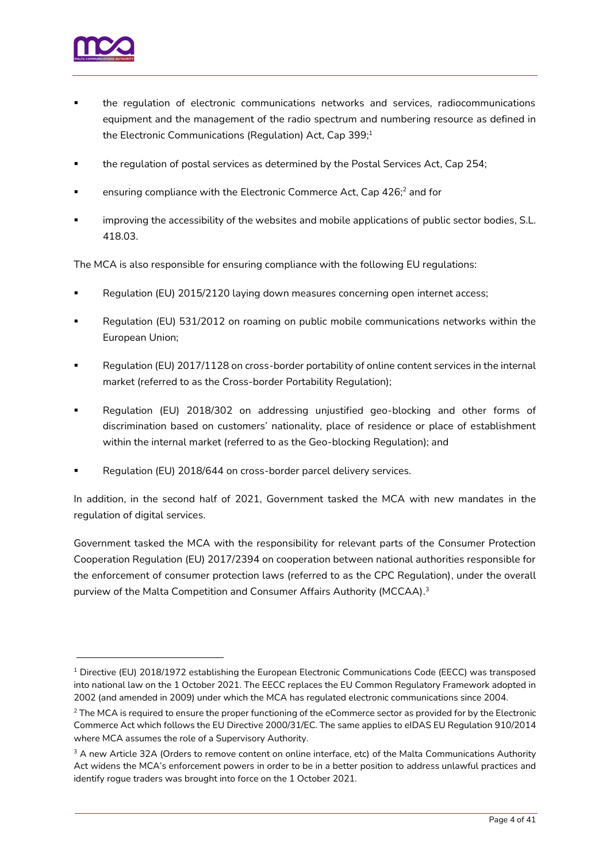

- the regulation of electronic communications networks and services, radiocommunications equipment and the management of the radio spectrum and numbering resource as defined in the Electronic Communications (Regulation) Act, Cap 399;<sup>1</sup>
- the regulation of postal services as determined by the Postal Services Act, Cap 254;
- ensuring compliance with the Electronic Commerce Act, Cap 426;<sup>2</sup> and for
- improving the accessibility of the websites and mobile applications of public sector bodies, S.L. 418.03.

The MCA is also responsible for ensuring compliance with the following EU regulations:

- Regulation (EU) 2015/2120 laying down measures concerning open internet access;
- Regulation (EU) 531/2012 on roaming on public mobile communications networks within the European Union;
- Regulation (EU) 2017/1128 on cross-border portability of online content services in the internal market (referred to as the Cross-border Portability Regulation);
- Regulation (EU) 2018/302 on addressing unjustified geo-blocking and other forms of discrimination based on customers' nationality, place of residence or place of establishment within the internal market (referred to as the Geo-blocking Regulation); and
- Regulation (EU) 2018/644 on cross-border parcel delivery services.

In addition, in the second half of 2021, Government tasked the MCA with new mandates in the regulation of digital services.

Government tasked the MCA with the responsibility for relevant parts of the Consumer Protection Cooperation Regulation (EU) 2017/2394 on cooperation between national authorities responsible for the enforcement of consumer protection laws (referred to as the CPC Regulation), under the overall purview of the Malta Competition and Consumer Affairs Authority (MCCAA). 3

<sup>&</sup>lt;sup>1</sup> Directive (EU) 2018/1972 establishing the European Electronic Communications Code (EECC) was transposed into national law on the 1 October 2021. The EECC replaces the EU Common Regulatory Framework adopted in 2002 (and amended in 2009) under which the MCA has regulated electronic communications since 2004.

 $2$  The MCA is required to ensure the proper functioning of the eCommerce sector as provided for by the Electronic Commerce Act which follows the EU Directive 2000/31/EC. The same applies to eIDAS EU Regulation 910/2014 where MCA assumes the role of a Supervisory Authority.

<sup>&</sup>lt;sup>3</sup> A new Article 32A (Orders to remove content on online interface, etc) of the Malta Communications Authority Act widens the MCA's enforcement powers in order to be in a better position to address unlawful practices and identify rogue traders was brought into force on the 1 October 2021.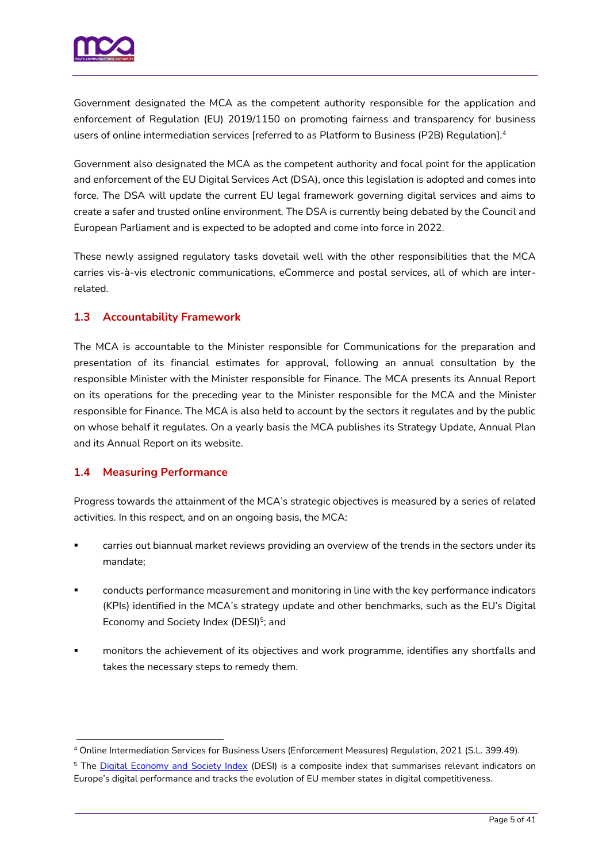

Government designated the MCA as the competent authority responsible for the application and enforcement of Regulation (EU) 2019/1150 on promoting fairness and transparency for business users of online intermediation services [referred to as Platform to Business (P2B) Regulation]. 4

Government also designated the MCA as the competent authority and focal point for the application and enforcement of the EU Digital Services Act (DSA), once this legislation is adopted and comes into force. The DSA will update the current EU legal framework governing digital services and aims to create a safer and trusted online environment. The DSA is currently being debated by the Council and European Parliament and is expected to be adopted and come into force in 2022.

These newly assigned regulatory tasks dovetail well with the other responsibilities that the MCA carries vis-à-vis electronic communications, eCommerce and postal services, all of which are interrelated.

# <span id="page-4-0"></span>**1.3 Accountability Framework**

The MCA is accountable to the Minister responsible for Communications for the preparation and presentation of its financial estimates for approval, following an annual consultation by the responsible Minister with the Minister responsible for Finance. The MCA presents its Annual Report on its operations for the preceding year to the Minister responsible for the MCA and the Minister responsible for Finance. The MCA is also held to account by the sectors it regulates and by the public on whose behalf it regulates. On a yearly basis the MCA publishes its Strategy Update, Annual Plan and its Annual Report on its website.

# <span id="page-4-1"></span>**1.4 Measuring Performance**

Progress towards the attainment of the MCA's strategic objectives is measured by a series of related activities. In this respect, and on an ongoing basis, the MCA:

- carries out biannual market reviews providing an overview of the trends in the sectors under its mandate;
- conducts performance measurement and monitoring in line with the key performance indicators (KPIs) identified in the MCA's strategy update and other benchmarks, such as the EU's Digital Economy and Society Index (DESI)<sup>5</sup>; and
- monitors the achievement of its objectives and work programme, identifies any shortfalls and takes the necessary steps to remedy them.

<sup>4</sup> Online Intermediation Services for Business Users (Enforcement Measures) Regulation, 2021 (S.L. 399.49).

<sup>&</sup>lt;sup>5</sup> The [Digital Economy and Society Index](https://ec.europa.eu/digital-single-market/en/scoreboard/malta) (DESI) is a composite index that summarises relevant indicators on Europe's digital performance and tracks the evolution of EU member states in digital competitiveness.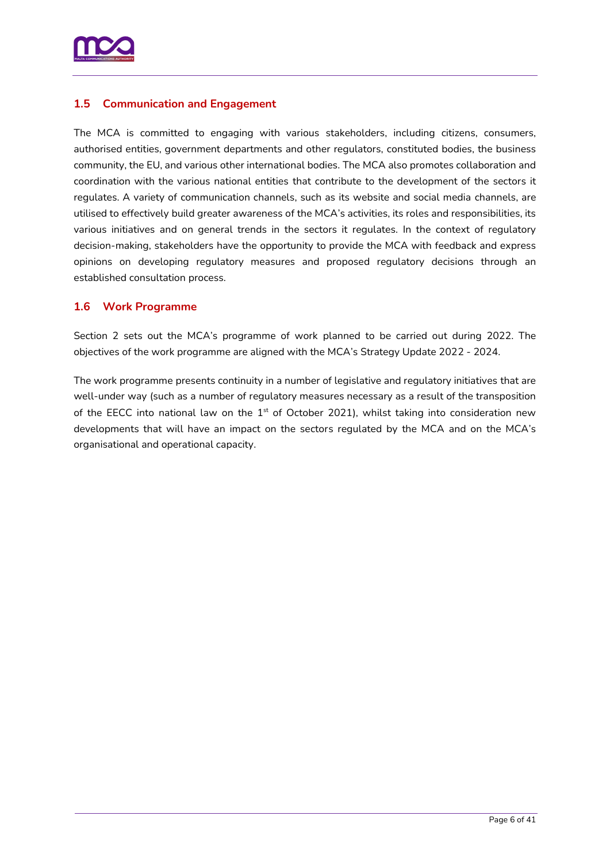

# <span id="page-5-0"></span>**1.5 Communication and Engagement**

The MCA is committed to engaging with various stakeholders, including citizens, consumers, authorised entities, government departments and other regulators, constituted bodies, the business community, the EU, and various other international bodies. The MCA also promotes collaboration and coordination with the various national entities that contribute to the development of the sectors it regulates. A variety of communication channels, such as its website and social media channels, are utilised to effectively build greater awareness of the MCA's activities, its roles and responsibilities, its various initiatives and on general trends in the sectors it regulates. In the context of regulatory decision-making, stakeholders have the opportunity to provide the MCA with feedback and express opinions on developing regulatory measures and proposed regulatory decisions through an established consultation process.

### <span id="page-5-1"></span>**1.6 Work Programme**

Section 2 sets out the MCA's programme of work planned to be carried out during 2022. The objectives of the work programme are aligned with the MCA's Strategy Update 2022 - 2024.

The work programme presents continuity in a number of legislative and regulatory initiatives that are well-under way (such as a number of regulatory measures necessary as a result of the transposition of the EECC into national law on the  $1<sup>st</sup>$  of October 2021), whilst taking into consideration new developments that will have an impact on the sectors regulated by the MCA and on the MCA's organisational and operational capacity.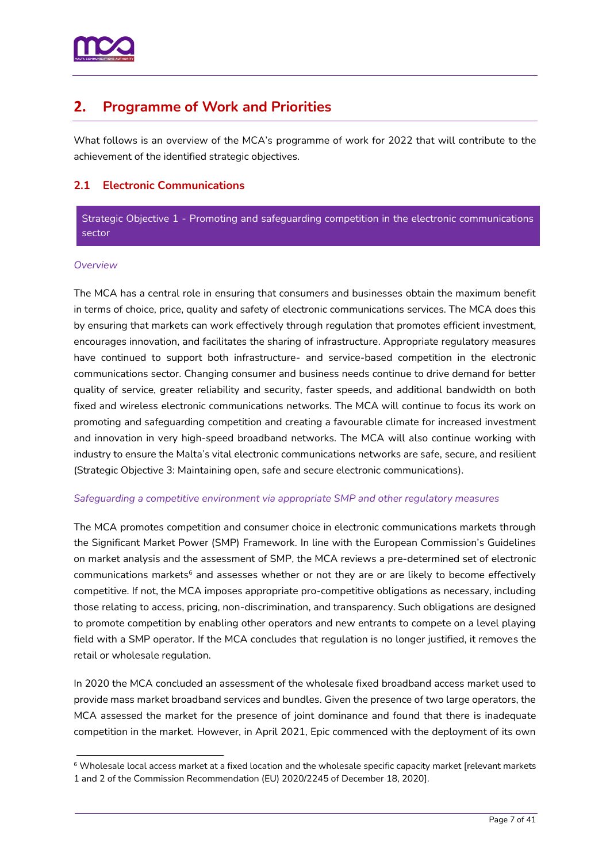

# <span id="page-6-0"></span>**2. Programme of Work and Priorities**

What follows is an overview of the MCA's programme of work for 2022 that will contribute to the achievement of the identified strategic objectives.

# <span id="page-6-1"></span>**2.1 Electronic Communications**

Strategic Objective 1 - Promoting and safeguarding competition in the electronic communications sector

#### *Overview*

The MCA has a central role in ensuring that consumers and businesses obtain the maximum benefit in terms of choice, price, quality and safety of electronic communications services. The MCA does this by ensuring that markets can work effectively through regulation that promotes efficient investment, encourages innovation, and facilitates the sharing of infrastructure. Appropriate regulatory measures have continued to support both infrastructure- and service-based competition in the electronic communications sector. Changing consumer and business needs continue to drive demand for better quality of service, greater reliability and security, faster speeds, and additional bandwidth on both fixed and wireless electronic communications networks. The MCA will continue to focus its work on promoting and safeguarding competition and creating a favourable climate for increased investment and innovation in very high-speed broadband networks. The MCA will also continue working with industry to ensure the Malta's vital electronic communications networks are safe, secure, and resilient (Strategic Objective 3: Maintaining open, safe and secure electronic communications).

#### *Safeguarding a competitive environment via appropriate SMP and other regulatory measures*

The MCA promotes competition and consumer choice in electronic communications markets through the Significant Market Power (SMP) Framework. In line with the European Commission's Guidelines on market analysis and the assessment of SMP, the MCA reviews a pre-determined set of electronic communications markets<sup>6</sup> and assesses whether or not they are or are likely to become effectively competitive. If not, the MCA imposes appropriate pro-competitive obligations as necessary, including those relating to access, pricing, non-discrimination, and transparency. Such obligations are designed to promote competition by enabling other operators and new entrants to compete on a level playing field with a SMP operator. If the MCA concludes that regulation is no longer justified, it removes the retail or wholesale regulation.

In 2020 the MCA concluded an assessment of the wholesale fixed broadband access market used to provide mass market broadband services and bundles. Given the presence of two large operators, the MCA assessed the market for the presence of joint dominance and found that there is inadequate competition in the market. However, in April 2021, Epic commenced with the deployment of its own

<sup>&</sup>lt;sup>6</sup> Wholesale local access market at a fixed location and the wholesale specific capacity market [relevant markets 1 and 2 of the Commission Recommendation (EU) 2020/2245 of December 18, 2020].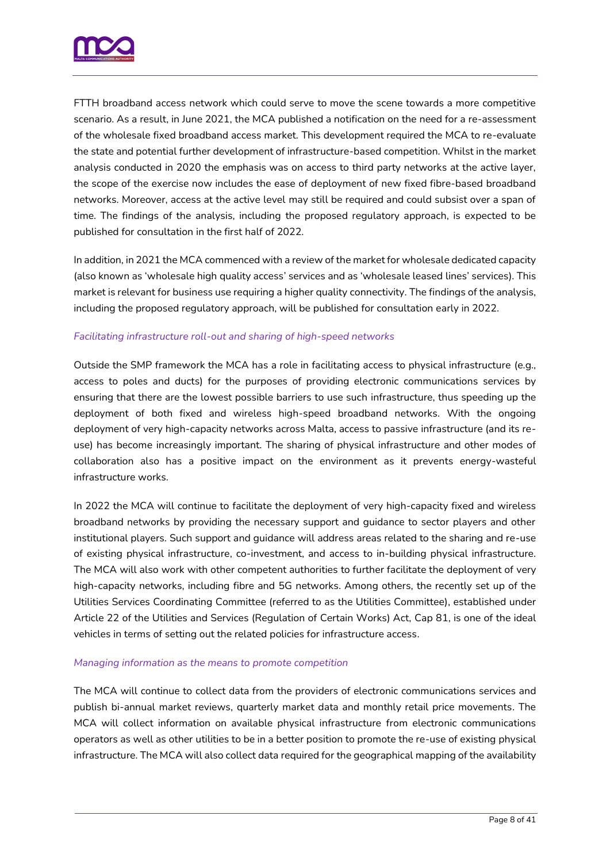

FTTH broadband access network which could serve to move the scene towards a more competitive scenario. As a result, in June 2021, the MCA published a notification on the need for a re-assessment of the wholesale fixed broadband access market. This development required the MCA to re-evaluate the state and potential further development of infrastructure-based competition. Whilst in the market analysis conducted in 2020 the emphasis was on access to third party networks at the active layer, the scope of the exercise now includes the ease of deployment of new fixed fibre-based broadband networks. Moreover, access at the active level may still be required and could subsist over a span of time. The findings of the analysis, including the proposed regulatory approach, is expected to be published for consultation in the first half of 2022.

In addition, in 2021 the MCA commenced with a review of the market for wholesale dedicated capacity (also known as 'wholesale high quality access' services and as 'wholesale leased lines' services). This market is relevant for business use requiring a higher quality connectivity. The findings of the analysis, including the proposed regulatory approach, will be published for consultation early in 2022.

#### *Facilitating infrastructure roll-out and sharing of high-speed networks*

Outside the SMP framework the MCA has a role in facilitating access to physical infrastructure (e.g., access to poles and ducts) for the purposes of providing electronic communications services by ensuring that there are the lowest possible barriers to use such infrastructure, thus speeding up the deployment of both fixed and wireless high-speed broadband networks. With the ongoing deployment of very high-capacity networks across Malta, access to passive infrastructure (and its reuse) has become increasingly important. The sharing of physical infrastructure and other modes of collaboration also has a positive impact on the environment as it prevents energy-wasteful infrastructure works.

In 2022 the MCA will continue to facilitate the deployment of very high-capacity fixed and wireless broadband networks by providing the necessary support and guidance to sector players and other institutional players. Such support and guidance will address areas related to the sharing and re-use of existing physical infrastructure, co-investment, and access to in-building physical infrastructure. The MCA will also work with other competent authorities to further facilitate the deployment of very high-capacity networks, including fibre and 5G networks. Among others, the recently set up of the Utilities Services Coordinating Committee (referred to as the Utilities Committee), established under Article 22 of the Utilities and Services (Regulation of Certain Works) Act, Cap 81, is one of the ideal vehicles in terms of setting out the related policies for infrastructure access.

#### *Managing information as the means to promote competition*

The MCA will continue to collect data from the providers of electronic communications services and publish bi-annual market reviews, quarterly market data and monthly retail price movements. The MCA will collect information on available physical infrastructure from electronic communications operators as well as other utilities to be in a better position to promote the re-use of existing physical infrastructure. The MCA will also collect data required for the geographical mapping of the availability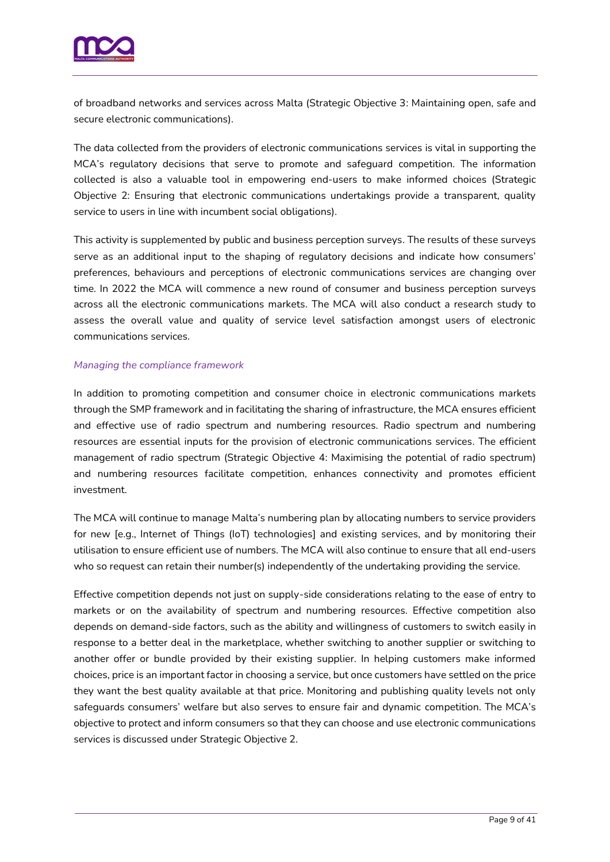

of broadband networks and services across Malta (Strategic Objective 3: Maintaining open, safe and secure electronic communications).

The data collected from the providers of electronic communications services is vital in supporting the MCA's regulatory decisions that serve to promote and safeguard competition. The information collected is also a valuable tool in empowering end-users to make informed choices (Strategic Objective 2: Ensuring that electronic communications undertakings provide a transparent, quality service to users in line with incumbent social obligations).

This activity is supplemented by public and business perception surveys. The results of these surveys serve as an additional input to the shaping of regulatory decisions and indicate how consumers' preferences, behaviours and perceptions of electronic communications services are changing over time. In 2022 the MCA will commence a new round of consumer and business perception surveys across all the electronic communications markets. The MCA will also conduct a research study to assess the overall value and quality of service level satisfaction amongst users of electronic communications services.

#### *Managing the compliance framework*

In addition to promoting competition and consumer choice in electronic communications markets through the SMP framework and in facilitating the sharing of infrastructure, the MCA ensures efficient and effective use of radio spectrum and numbering resources. Radio spectrum and numbering resources are essential inputs for the provision of electronic communications services. The efficient management of radio spectrum (Strategic Objective 4: Maximising the potential of radio spectrum) and numbering resources facilitate competition, enhances connectivity and promotes efficient investment.

The MCA will continue to manage Malta's numbering plan by allocating numbers to service providers for new [e.g., Internet of Things (IoT) technologies] and existing services, and by monitoring their utilisation to ensure efficient use of numbers. The MCA will also continue to ensure that all end-users who so request can retain their number(s) independently of the undertaking providing the service.

Effective competition depends not just on supply-side considerations relating to the ease of entry to markets or on the availability of spectrum and numbering resources. Effective competition also depends on demand-side factors, such as the ability and willingness of customers to switch easily in response to a better deal in the marketplace, whether switching to another supplier or switching to another offer or bundle provided by their existing supplier. In helping customers make informed choices, price is an important factor in choosing a service, but once customers have settled on the price they want the best quality available at that price. Monitoring and publishing quality levels not only safeguards consumers' welfare but also serves to ensure fair and dynamic competition. The MCA's objective to protect and inform consumers so that they can choose and use electronic communications services is discussed under Strategic Objective 2.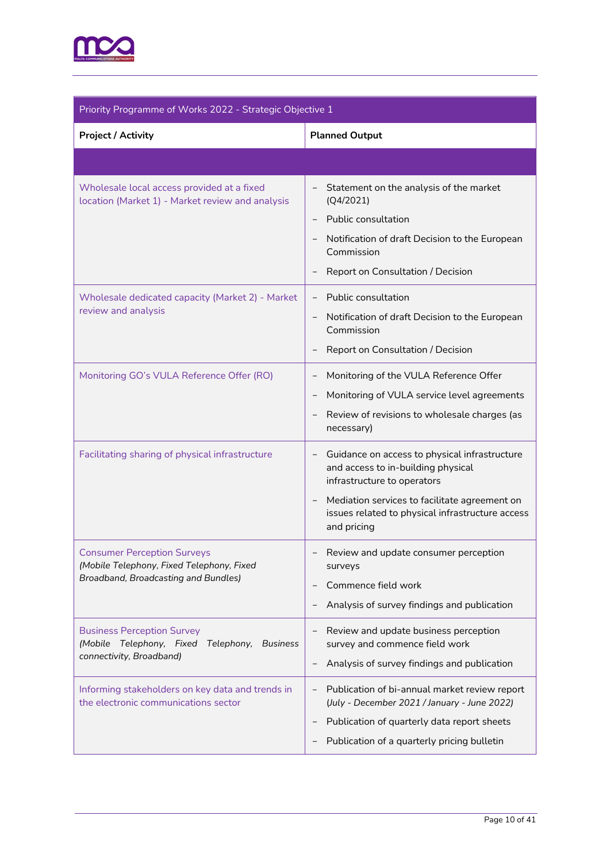

| Priority Programme of Works 2022 - Strategic Objective 1                                                                |                                                                                                                                                                                                                                                                                         |  |
|-------------------------------------------------------------------------------------------------------------------------|-----------------------------------------------------------------------------------------------------------------------------------------------------------------------------------------------------------------------------------------------------------------------------------------|--|
| <b>Project / Activity</b>                                                                                               | <b>Planned Output</b>                                                                                                                                                                                                                                                                   |  |
|                                                                                                                         |                                                                                                                                                                                                                                                                                         |  |
| Wholesale local access provided at a fixed<br>location (Market 1) - Market review and analysis                          | Statement on the analysis of the market<br>-<br>(Q4/2021)<br>Public consultation<br>Notification of draft Decision to the European<br>Commission<br>Report on Consultation / Decision                                                                                                   |  |
| Wholesale dedicated capacity (Market 2) - Market<br>review and analysis                                                 | Public consultation<br>$\overline{\phantom{a}}$<br>Notification of draft Decision to the European<br>Commission<br>Report on Consultation / Decision                                                                                                                                    |  |
| Monitoring GO's VULA Reference Offer (RO)                                                                               | Monitoring of the VULA Reference Offer<br>$\overline{a}$<br>Monitoring of VULA service level agreements<br>Review of revisions to wholesale charges (as<br>necessary)                                                                                                                   |  |
| Facilitating sharing of physical infrastructure                                                                         | Guidance on access to physical infrastructure<br>$\overline{\phantom{a}}$<br>and access to in-building physical<br>infrastructure to operators<br>Mediation services to facilitate agreement on<br>$\qquad \qquad -$<br>issues related to physical infrastructure access<br>and pricing |  |
| <b>Consumer Perception Surveys</b><br>(Mobile Telephony, Fixed Telephony, Fixed<br>Broadband, Broadcasting and Bundles) | Review and update consumer perception<br>surveys<br>Commence field work<br>Analysis of survey findings and publication                                                                                                                                                                  |  |
| <b>Business Perception Survey</b><br>(Mobile Telephony, Fixed Telephony,<br><b>Business</b><br>connectivity, Broadband) | Review and update business perception<br>$\overline{a}$<br>survey and commence field work<br>Analysis of survey findings and publication<br>$\overline{a}$                                                                                                                              |  |
| Informing stakeholders on key data and trends in<br>the electronic communications sector                                | Publication of bi-annual market review report<br>(July - December 2021 / January - June 2022)<br>Publication of quarterly data report sheets<br>$\qquad \qquad -$<br>Publication of a quarterly pricing bulletin                                                                        |  |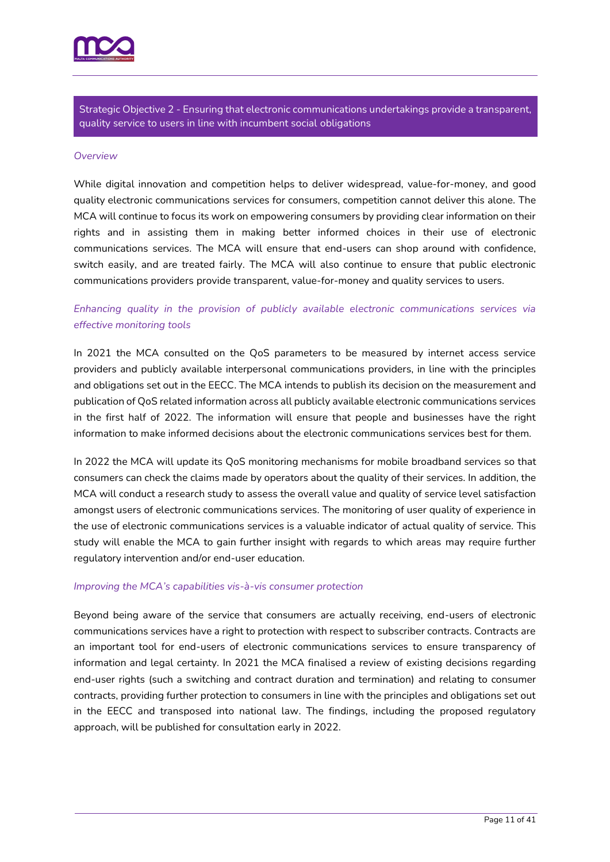

Strategic Objective 2 - Ensuring that electronic communications undertakings provide a transparent, quality service to users in line with incumbent social obligations

#### *Overview*

While digital innovation and competition helps to deliver widespread, value-for-money, and good quality electronic communications services for consumers, competition cannot deliver this alone. The MCA will continue to focus its work on empowering consumers by providing clear information on their rights and in assisting them in making better informed choices in their use of electronic communications services. The MCA will ensure that end-users can shop around with confidence, switch easily, and are treated fairly. The MCA will also continue to ensure that public electronic communications providers provide transparent, value-for-money and quality services to users.

# *Enhancing quality in the provision of publicly available electronic communications services via effective monitoring tools*

In 2021 the MCA consulted on the QoS parameters to be measured by internet access service providers and publicly available interpersonal communications providers, in line with the principles and obligations set out in the EECC. The MCA intends to publish its decision on the measurement and publication of QoS related information across all publicly available electronic communications services in the first half of 2022. The information will ensure that people and businesses have the right information to make informed decisions about the electronic communications services best for them.

In 2022 the MCA will update its QoS monitoring mechanisms for mobile broadband services so that consumers can check the claims made by operators about the quality of their services. In addition, the MCA will conduct a research study to assess the overall value and quality of service level satisfaction amongst users of electronic communications services. The monitoring of user quality of experience in the use of electronic communications services is a valuable indicator of actual quality of service. This study will enable the MCA to gain further insight with regards to which areas may require further regulatory intervention and/or end-user education.

#### *Improving the MCA's capabilities vis-à-vis consumer protection*

Beyond being aware of the service that consumers are actually receiving, end-users of electronic communications services have a right to protection with respect to subscriber contracts. Contracts are an important tool for end-users of electronic communications services to ensure transparency of information and legal certainty. In 2021 the MCA finalised a review of existing decisions regarding end-user rights (such a switching and contract duration and termination) and relating to consumer contracts, providing further protection to consumers in line with the principles and obligations set out in the EECC and transposed into national law. The findings, including the proposed regulatory approach, will be published for consultation early in 2022.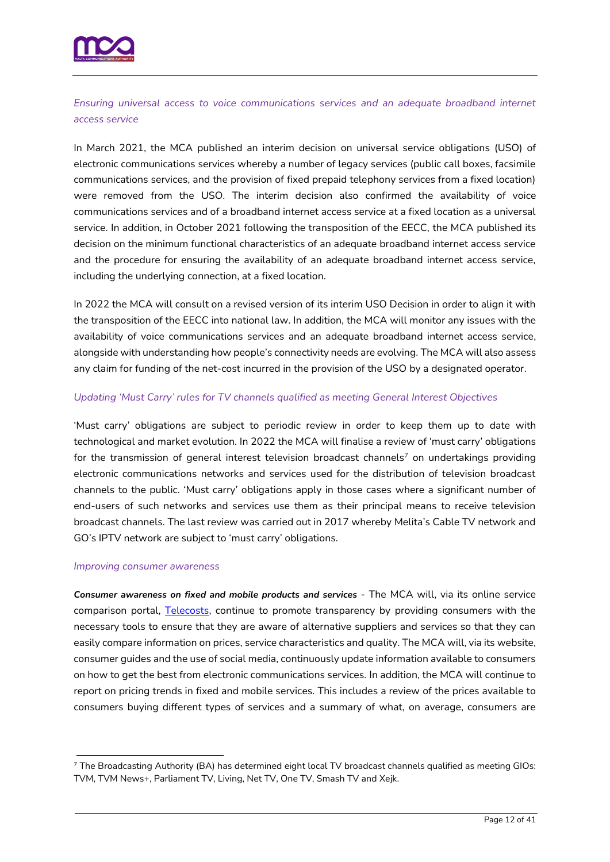

*Ensuring universal access to voice communications services and an adequate broadband internet access service* 

In March 2021, the MCA published an interim decision on universal service obligations (USO) of electronic communications services whereby a number of legacy services (public call boxes, facsimile communications services, and the provision of fixed prepaid telephony services from a fixed location) were removed from the USO. The interim decision also confirmed the availability of voice communications services and of a broadband internet access service at a fixed location as a universal service. In addition, in October 2021 following the transposition of the EECC, the MCA published its decision on the minimum functional characteristics of an adequate broadband internet access service and the procedure for ensuring the availability of an adequate broadband internet access service, including the underlying connection, at a fixed location.

In 2022 the MCA will consult on a revised version of its interim USO Decision in order to align it with the transposition of the EECC into national law. In addition, the MCA will monitor any issues with the availability of voice communications services and an adequate broadband internet access service, alongside with understanding how people's connectivity needs are evolving. The MCA will also assess any claim for funding of the net-cost incurred in the provision of the USO by a designated operator.

#### *Updating 'Must Carry' rules for TV channels qualified as meeting General Interest Objectives*

'Must carry' obligations are subject to periodic review in order to keep them up to date with technological and market evolution. In 2022 the MCA will finalise a review of 'must carry' obligations for the transmission of general interest television broadcast channels<sup>7</sup> on undertakings providing electronic communications networks and services used for the distribution of television broadcast channels to the public. 'Must carry' obligations apply in those cases where a significant number of end-users of such networks and services use them as their principal means to receive television broadcast channels. The last review was carried out in 2017 whereby Melita's Cable TV network and GO's IPTV network are subject to 'must carry' obligations.

#### *Improving consumer awareness*

*Consumer awareness on fixed and mobile products and services* - The MCA will, via its online service comparison portal, [Telecosts,](https://www.telecosts.com/) continue to promote transparency by providing consumers with the necessary tools to ensure that they are aware of alternative suppliers and services so that they can easily compare information on prices, service characteristics and quality. The MCA will, via its website, consumer guides and the use of social media, continuously update information available to consumers on how to get the best from electronic communications services. In addition, the MCA will continue to report on pricing trends in fixed and mobile services. This includes a review of the prices available to consumers buying different types of services and a summary of what, on average, consumers are

<sup>7</sup> The Broadcasting Authority (BA) has determined eight local TV broadcast channels qualified as meeting GIOs: TVM, TVM News+, Parliament TV, Living, Net TV, One TV, Smash TV and Xejk.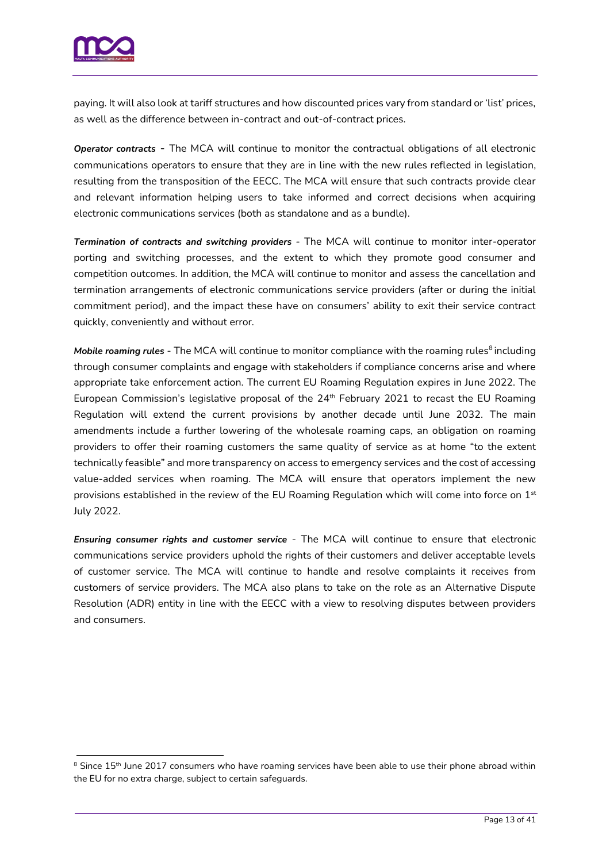

paying. It will also look at tariff structures and how discounted prices vary from standard or 'list' prices, as well as the difference between in-contract and out-of-contract prices.

*Operator contracts* - The MCA will continue to monitor the contractual obligations of all electronic communications operators to ensure that they are in line with the new rules reflected in legislation, resulting from the transposition of the EECC. The MCA will ensure that such contracts provide clear and relevant information helping users to take informed and correct decisions when acquiring electronic communications services (both as standalone and as a bundle).

*Termination of contracts and switching providers -* The MCA will continue to monitor inter-operator porting and switching processes, and the extent to which they promote good consumer and competition outcomes. In addition, the MCA will continue to monitor and assess the cancellation and termination arrangements of electronic communications service providers (after or during the initial commitment period), and the impact these have on consumers' ability to exit their service contract quickly, conveniently and without error.

**Mobile roaming rules** - The MCA will continue to monitor compliance with the roaming rules<sup>8</sup> including through consumer complaints and engage with stakeholders if compliance concerns arise and where appropriate take enforcement action. The current EU Roaming Regulation expires in June 2022. The European Commission's legislative proposal of the 24<sup>th</sup> February 2021 to recast the EU Roaming Regulation will extend the current provisions by another decade until June 2032. The main amendments include a further lowering of the wholesale roaming caps, an obligation on roaming providers to offer their roaming customers the same quality of service as at home "to the extent technically feasible" and more transparency on access to emergency services and the cost of accessing value-added services when roaming. The MCA will ensure that operators implement the new provisions established in the review of the EU Roaming Regulation which will come into force on 1<sup>st</sup> July 2022.

*Ensuring consumer rights and customer service -* The MCA will continue to ensure that electronic communications service providers uphold the rights of their customers and deliver acceptable levels of customer service. The MCA will continue to handle and resolve complaints it receives from customers of service providers. The MCA also plans to take on the role as an Alternative Dispute Resolution (ADR) entity in line with the EECC with a view to resolving disputes between providers and consumers.

<sup>&</sup>lt;sup>8</sup> Since 15<sup>th</sup> June 2017 consumers who have roaming services have been able to use their phone abroad within the EU for no extra charge, subject to certain safeguards.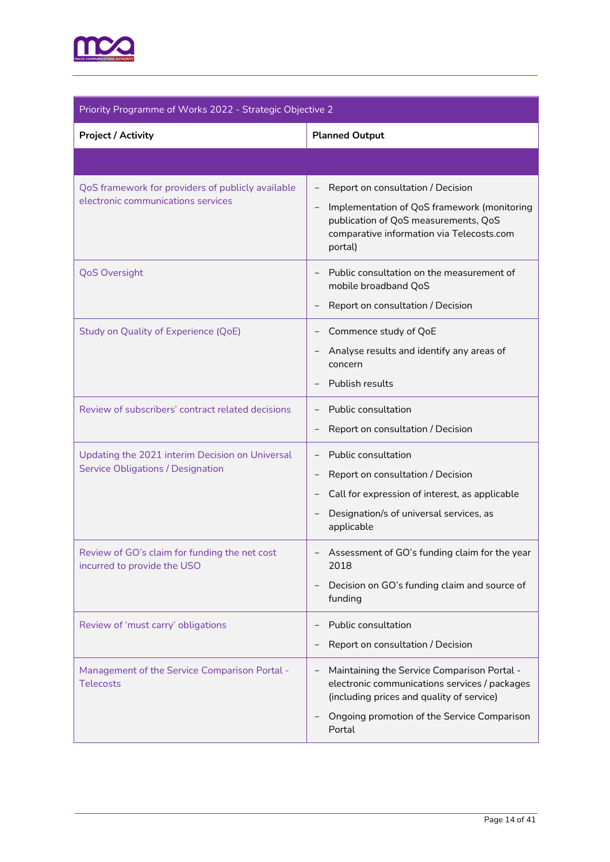

| Priority Programme of Works 2022 - Strategic Objective 2                                    |                                                                                                                                                                                                    |  |
|---------------------------------------------------------------------------------------------|----------------------------------------------------------------------------------------------------------------------------------------------------------------------------------------------------|--|
| <b>Project / Activity</b>                                                                   | <b>Planned Output</b>                                                                                                                                                                              |  |
|                                                                                             |                                                                                                                                                                                                    |  |
| QoS framework for providers of publicly available<br>electronic communications services     | Report on consultation / Decision<br>Implementation of QoS framework (monitoring<br>publication of QoS measurements, QoS<br>comparative information via Telecosts.com<br>portal)                   |  |
| <b>QoS Oversight</b>                                                                        | Public consultation on the measurement of<br>mobile broadband QoS<br>Report on consultation / Decision                                                                                             |  |
| <b>Study on Quality of Experience (QoE)</b>                                                 | Commence study of QoE<br>Analyse results and identify any areas of<br>concern<br>Publish results                                                                                                   |  |
| Review of subscribers' contract related decisions                                           | Public consultation<br>Report on consultation / Decision                                                                                                                                           |  |
| Updating the 2021 interim Decision on Universal<br><b>Service Obligations / Designation</b> | Public consultation<br>$\overline{\phantom{a}}$<br>Report on consultation / Decision<br>Call for expression of interest, as applicable<br>Designation/s of universal services, as<br>applicable    |  |
| Review of GO's claim for funding the net cost<br>incurred to provide the USO                | Assessment of GO's funding claim for the year<br>2018<br>Decision on GO's funding claim and source of<br>funding                                                                                   |  |
| Review of 'must carry' obligations                                                          | Public consultation<br>Report on consultation / Decision                                                                                                                                           |  |
| Management of the Service Comparison Portal -<br><b>Telecosts</b>                           | Maintaining the Service Comparison Portal -<br>electronic communications services / packages<br>(including prices and quality of service)<br>Ongoing promotion of the Service Comparison<br>Portal |  |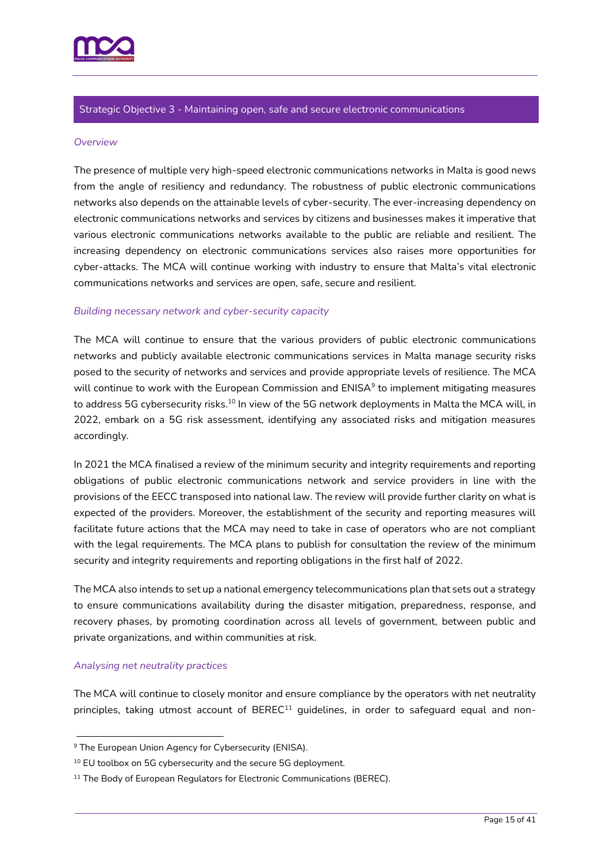

#### Strategic Objective 3 - Maintaining open, safe and secure electronic communications

#### *Overview*

The presence of multiple very high-speed electronic communications networks in Malta is good news from the angle of resiliency and redundancy. The robustness of public electronic communications networks also depends on the attainable levels of cyber-security. The ever-increasing dependency on electronic communications networks and services by citizens and businesses makes it imperative that various electronic communications networks available to the public are reliable and resilient. The increasing dependency on electronic communications services also raises more opportunities for cyber-attacks. The MCA will continue working with industry to ensure that Malta's vital electronic communications networks and services are open, safe, secure and resilient.

#### *Building necessary network and cyber-security capacity*

The MCA will continue to ensure that the various providers of public electronic communications networks and publicly available electronic communications services in Malta manage security risks posed to the security of networks and services and provide appropriate levels of resilience. The MCA will continue to work with the European Commission and  $ENISA<sup>9</sup>$  to implement mitigating measures to address 5G cybersecurity risks.<sup>10</sup> In view of the 5G network deployments in Malta the MCA will, in 2022, embark on a 5G risk assessment, identifying any associated risks and mitigation measures accordingly.

In 2021 the MCA finalised a review of the minimum security and integrity requirements and reporting obligations of public electronic communications network and service providers in line with the provisions of the EECC transposed into national law. The review will provide further clarity on what is expected of the providers. Moreover, the establishment of the security and reporting measures will facilitate future actions that the MCA may need to take in case of operators who are not compliant with the legal requirements. The MCA plans to publish for consultation the review of the minimum security and integrity requirements and reporting obligations in the first half of 2022.

The MCA also intends to set up a national emergency telecommunications plan that sets out a strategy to ensure communications availability during the disaster mitigation, preparedness, response, and recovery phases, by promoting coordination across all levels of government, between public and private organizations, and within communities at risk.

#### *Analysing net neutrality practices*

The MCA will continue to closely monitor and ensure compliance by the operators with net neutrality principles, taking utmost account of BEREC<sup>11</sup> guidelines, in order to safeguard equal and non-

<sup>&</sup>lt;sup>9</sup> The European Union Agency for Cybersecurity (ENISA).

<sup>&</sup>lt;sup>10</sup> EU toolbox on 5G cybersecurity and the secure 5G deployment.

<sup>&</sup>lt;sup>11</sup> The Body of European Regulators for Electronic Communications (BEREC).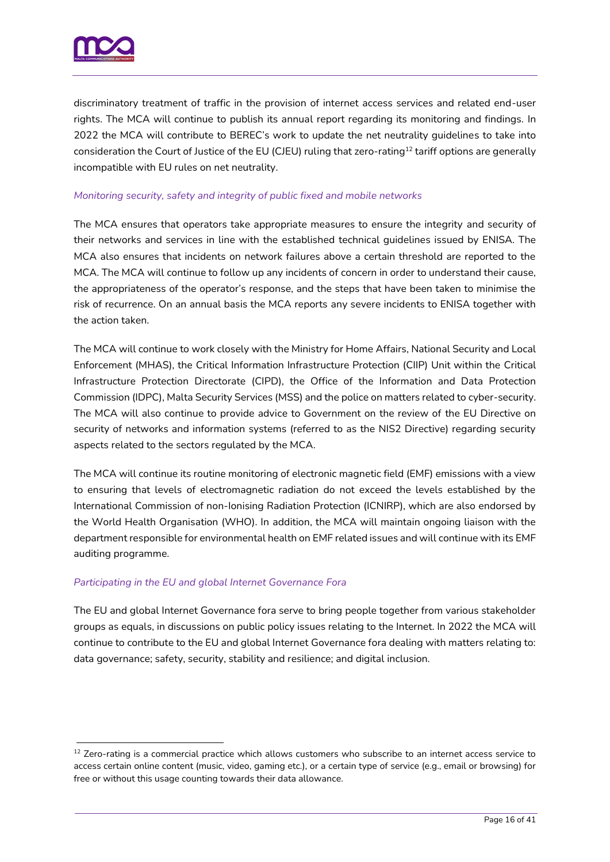

discriminatory treatment of traffic in the provision of internet access services and related end-user rights. The MCA will continue to publish its annual report regarding its monitoring and findings. In 2022 the MCA will contribute to BEREC's work to update the net neutrality guidelines to take into consideration the Court of Justice of the EU (CJEU) ruling that zero-rating<sup>12</sup> tariff options are generally incompatible with EU rules on net neutrality.

#### *Monitoring security, safety and integrity of public fixed and mobile networks*

The MCA ensures that operators take appropriate measures to ensure the integrity and security of their networks and services in line with the established technical guidelines issued by ENISA. The MCA also ensures that incidents on network failures above a certain threshold are reported to the MCA. The MCA will continue to follow up any incidents of concern in order to understand their cause, the appropriateness of the operator's response, and the steps that have been taken to minimise the risk of recurrence. On an annual basis the MCA reports any severe incidents to ENISA together with the action taken.

The MCA will continue to work closely with the Ministry for Home Affairs, National Security and Local Enforcement (MHAS), the Critical Information Infrastructure Protection (CIIP) Unit within the Critical Infrastructure Protection Directorate (CIPD), the Office of the Information and Data Protection Commission (IDPC), Malta Security Services (MSS) and the police on matters related to cyber-security. The MCA will also continue to provide advice to Government on the review of the EU Directive on security of networks and information systems (referred to as the NIS2 Directive) regarding security aspects related to the sectors regulated by the MCA.

The MCA will continue its routine monitoring of electronic magnetic field (EMF) emissions with a view to ensuring that levels of electromagnetic radiation do not exceed the levels established by the International Commission of non-Ionising Radiation Protection (ICNIRP), which are also endorsed by the World Health Organisation (WHO). In addition, the MCA will maintain ongoing liaison with the department responsible for environmental health on EMF related issues and will continue with its EMF auditing programme.

#### *Participating in the EU and global Internet Governance Fora*

The EU and global Internet Governance fora serve to bring people together from various stakeholder groups as equals, in discussions on public policy issues relating to the Internet. In 2022 the MCA will continue to contribute to the EU and global Internet Governance fora dealing with matters relating to: data governance; safety, security, stability and resilience; and digital inclusion.

<sup>&</sup>lt;sup>12</sup> Zero-rating is a commercial practice which allows customers who subscribe to an internet access service to access certain online content (music, video, gaming etc.), or a certain type of service (e.g., email or browsing) for free or without this usage counting towards their data allowance.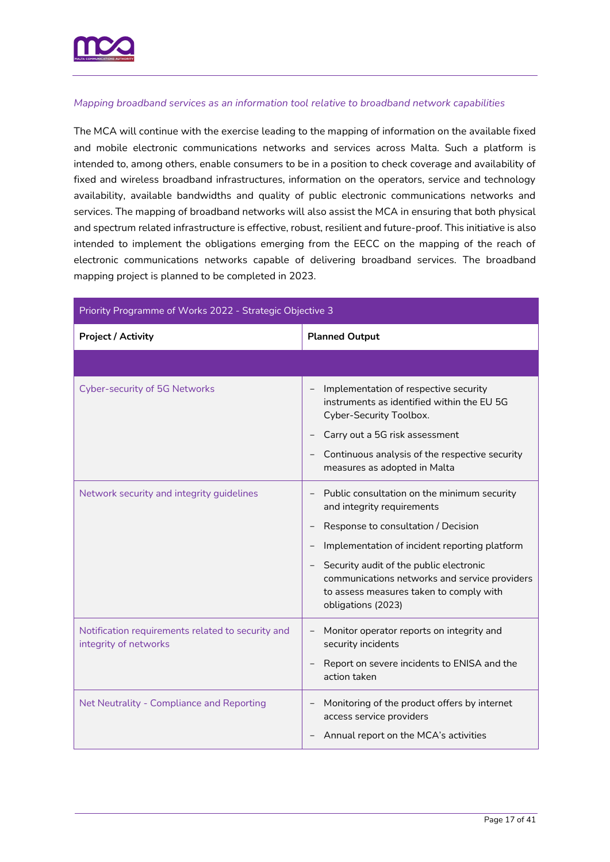

#### *Mapping broadband services as an information tool relative to broadband network capabilities*

The MCA will continue with the exercise leading to the mapping of information on the available fixed and mobile electronic communications networks and services across Malta. Such a platform is intended to, among others, enable consumers to be in a position to check coverage and availability of fixed and wireless broadband infrastructures, information on the operators, service and technology availability, available bandwidths and quality of public electronic communications networks and services. The mapping of broadband networks will also assist the MCA in ensuring that both physical and spectrum related infrastructure is effective, robust, resilient and future-proof. This initiative is also intended to implement the obligations emerging from the EECC on the mapping of the reach of electronic communications networks capable of delivering broadband services. The broadband mapping project is planned to be completed in 2023.

| Priority Programme of Works 2022 - Strategic Objective 3                   |                                                                                                                                                                                                                                                                                                                                                            |  |
|----------------------------------------------------------------------------|------------------------------------------------------------------------------------------------------------------------------------------------------------------------------------------------------------------------------------------------------------------------------------------------------------------------------------------------------------|--|
| <b>Project / Activity</b>                                                  | <b>Planned Output</b>                                                                                                                                                                                                                                                                                                                                      |  |
|                                                                            |                                                                                                                                                                                                                                                                                                                                                            |  |
| <b>Cyber-security of 5G Networks</b>                                       | Implementation of respective security<br>instruments as identified within the EU 5G<br>Cyber-Security Toolbox.<br>Carry out a 5G risk assessment<br>-<br>Continuous analysis of the respective security<br>measures as adopted in Malta                                                                                                                    |  |
| Network security and integrity guidelines                                  | Public consultation on the minimum security<br>and integrity requirements<br>Response to consultation / Decision<br>Implementation of incident reporting platform<br>Security audit of the public electronic<br>$\overline{\phantom{a}}$<br>communications networks and service providers<br>to assess measures taken to comply with<br>obligations (2023) |  |
| Notification requirements related to security and<br>integrity of networks | Monitor operator reports on integrity and<br>$\qquad \qquad -$<br>security incidents<br>Report on severe incidents to ENISA and the<br>action taken                                                                                                                                                                                                        |  |
| Net Neutrality - Compliance and Reporting                                  | Monitoring of the product offers by internet<br>$\qquad \qquad -$<br>access service providers<br>Annual report on the MCA's activities                                                                                                                                                                                                                     |  |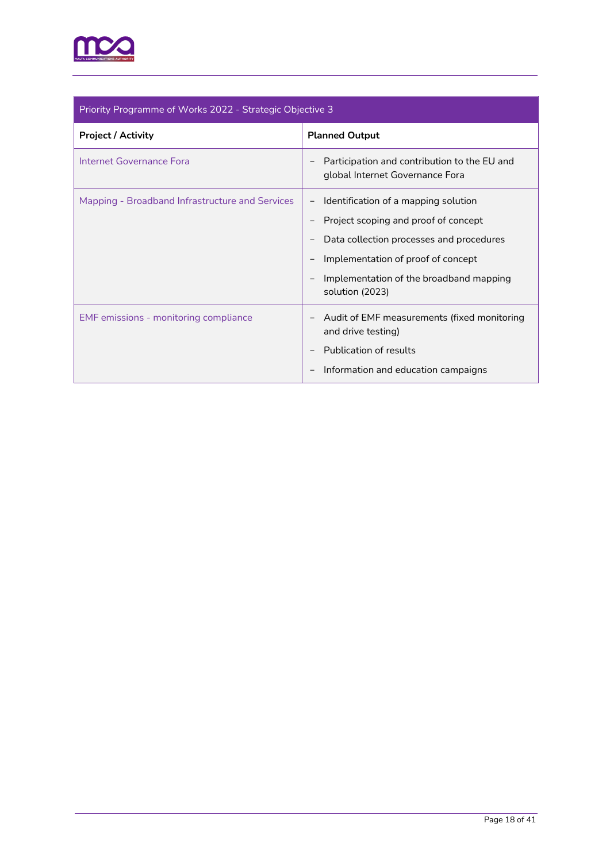

| Priority Programme of Works 2022 - Strategic Objective 3 |                                                                                 |  |
|----------------------------------------------------------|---------------------------------------------------------------------------------|--|
| <b>Project / Activity</b>                                | <b>Planned Output</b>                                                           |  |
| Internet Governance Fora                                 | Participation and contribution to the EU and<br>global Internet Governance Fora |  |
| Mapping - Broadband Infrastructure and Services          | Identification of a mapping solution                                            |  |
|                                                          | Project scoping and proof of concept                                            |  |
|                                                          | Data collection processes and procedures                                        |  |
|                                                          | Implementation of proof of concept                                              |  |
|                                                          | Implementation of the broadband mapping<br>solution (2023)                      |  |
| EMF emissions - monitoring compliance                    | Audit of EMF measurements (fixed monitoring<br>and drive testing)               |  |
|                                                          | Publication of results                                                          |  |
|                                                          | Information and education campaigns                                             |  |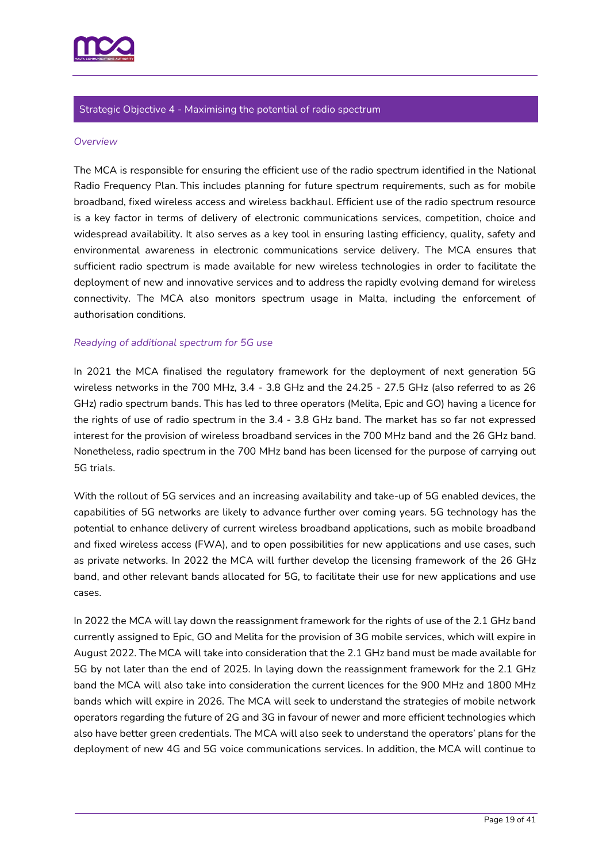

#### Strategic Objective 4 - Maximising the potential of radio spectrum

#### *Overview*

The MCA is responsible for ensuring the efficient use of the radio spectrum identified in the National Radio Frequency Plan. This includes planning for future spectrum requirements, such as for mobile broadband, fixed wireless access and wireless backhaul. Efficient use of the radio spectrum resource is a key factor in terms of delivery of electronic communications services, competition, choice and widespread availability. It also serves as a key tool in ensuring lasting efficiency, quality, safety and environmental awareness in electronic communications service delivery. The MCA ensures that sufficient radio spectrum is made available for new wireless technologies in order to facilitate the deployment of new and innovative services and to address the rapidly evolving demand for wireless connectivity. The MCA also monitors spectrum usage in Malta, including the enforcement of authorisation conditions.

#### *Readying of additional spectrum for 5G use*

In 2021 the MCA finalised the regulatory framework for the deployment of next generation 5G wireless networks in the 700 MHz, 3.4 - 3.8 GHz and the 24.25 - 27.5 GHz (also referred to as 26 GHz) radio spectrum bands. This has led to three operators (Melita, Epic and GO) having a licence for the rights of use of radio spectrum in the 3.4 - 3.8 GHz band. The market has so far not expressed interest for the provision of wireless broadband services in the 700 MHz band and the 26 GHz band. Nonetheless, radio spectrum in the 700 MHz band has been licensed for the purpose of carrying out 5G trials.

With the rollout of 5G services and an increasing availability and take-up of 5G enabled devices, the capabilities of 5G networks are likely to advance further over coming years. 5G technology has the potential to enhance delivery of current wireless broadband applications, such as mobile broadband and fixed wireless access (FWA), and to open possibilities for new applications and use cases, such as private networks. In 2022 the MCA will further develop the licensing framework of the 26 GHz band, and other relevant bands allocated for 5G, to facilitate their use for new applications and use cases.

In 2022 the MCA will lay down the reassignment framework for the rights of use of the 2.1 GHz band currently assigned to Epic, GO and Melita for the provision of 3G mobile services, which will expire in August 2022. The MCA will take into consideration that the 2.1 GHz band must be made available for 5G by not later than the end of 2025. In laying down the reassignment framework for the 2.1 GHz band the MCA will also take into consideration the current licences for the 900 MHz and 1800 MHz bands which will expire in 2026. The MCA will seek to understand the strategies of mobile network operators regarding the future of 2G and 3G in favour of newer and more efficient technologies which also have better green credentials. The MCA will also seek to understand the operators' plans for the deployment of new 4G and 5G voice communications services. In addition, the MCA will continue to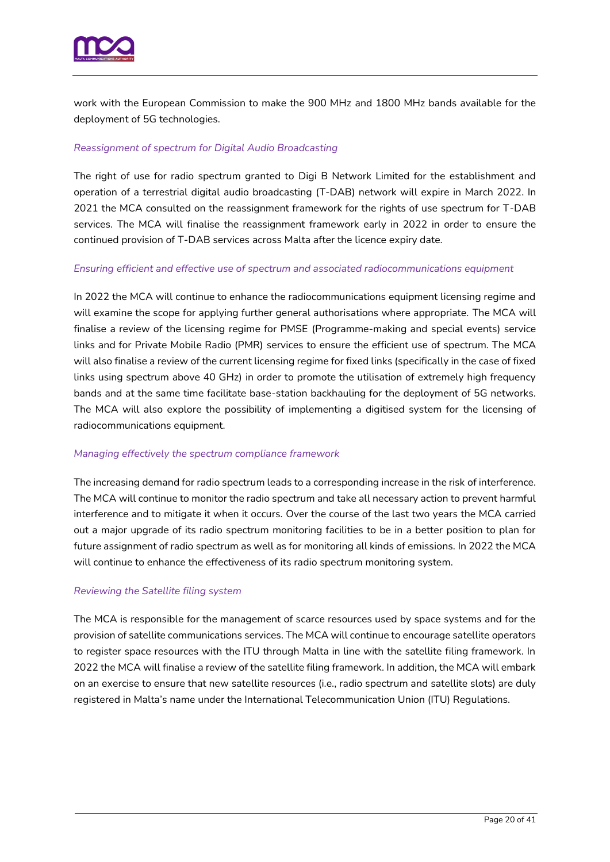

work with the European Commission to make the 900 MHz and 1800 MHz bands available for the deployment of 5G technologies.

#### *Reassignment of spectrum for Digital Audio Broadcasting*

The right of use for radio spectrum granted to Digi B Network Limited for the establishment and operation of a terrestrial digital audio broadcasting (T-DAB) network will expire in March 2022. In 2021 the MCA consulted on the reassignment framework for the rights of use spectrum for T-DAB services. The MCA will finalise the reassignment framework early in 2022 in order to ensure the continued provision of T-DAB services across Malta after the licence expiry date.

#### *Ensuring efficient and effective use of spectrum and associated radiocommunications equipment*

In 2022 the MCA will continue to enhance the radiocommunications equipment licensing regime and will examine the scope for applying further general authorisations where appropriate. The MCA will finalise a review of the licensing regime for PMSE (Programme-making and special events) service links and for Private Mobile Radio (PMR) services to ensure the efficient use of spectrum. The MCA will also finalise a review of the current licensing regime for fixed links (specifically in the case of fixed links using spectrum above 40 GHz) in order to promote the utilisation of extremely high frequency bands and at the same time facilitate base-station backhauling for the deployment of 5G networks. The MCA will also explore the possibility of implementing a digitised system for the licensing of radiocommunications equipment.

#### *Managing effectively the spectrum compliance framework*

The increasing demand for radio spectrum leads to a corresponding increase in the risk of interference. The MCA will continue to monitor the radio spectrum and take all necessary action to prevent harmful interference and to mitigate it when it occurs. Over the course of the last two years the MCA carried out a major upgrade of its radio spectrum monitoring facilities to be in a better position to plan for future assignment of radio spectrum as well as for monitoring all kinds of emissions. In 2022 the MCA will continue to enhance the effectiveness of its radio spectrum monitoring system.

#### *Reviewing the Satellite filing system*

The MCA is responsible for the management of scarce resources used by space systems and for the provision of satellite communications services. The MCA will continue to encourage satellite operators to register space resources with the ITU through Malta in line with the satellite filing framework. In 2022 the MCA will finalise a review of the satellite filing framework. In addition, the MCA will embark on an exercise to ensure that new satellite resources (i.e., radio spectrum and satellite slots) are duly registered in Malta's name under the International Telecommunication Union (ITU) Regulations.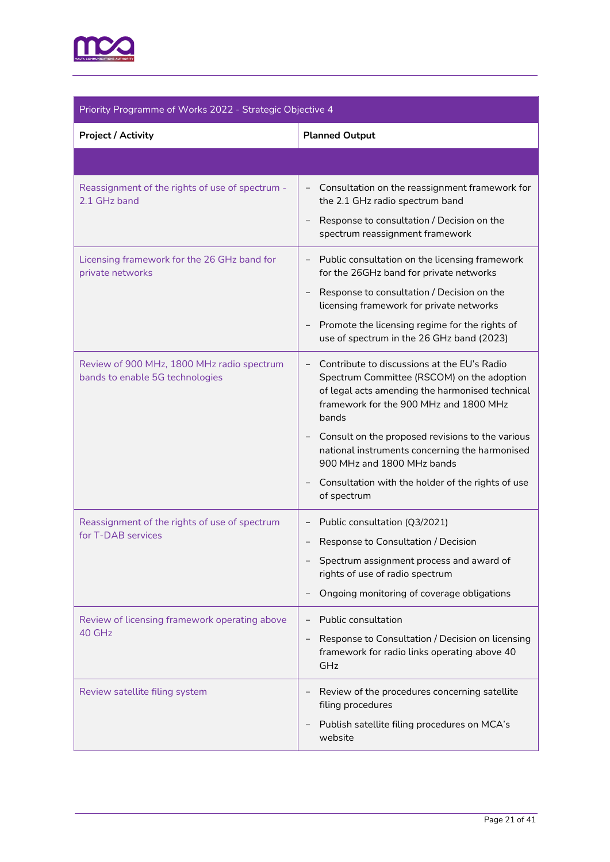

| Priority Programme of Works 2022 - Strategic Objective 4                      |                                                                                                                                                                                                                                                                                                                                                                                                         |
|-------------------------------------------------------------------------------|---------------------------------------------------------------------------------------------------------------------------------------------------------------------------------------------------------------------------------------------------------------------------------------------------------------------------------------------------------------------------------------------------------|
| <b>Project / Activity</b>                                                     | <b>Planned Output</b>                                                                                                                                                                                                                                                                                                                                                                                   |
|                                                                               |                                                                                                                                                                                                                                                                                                                                                                                                         |
| Reassignment of the rights of use of spectrum -<br>2.1 GHz band               | Consultation on the reassignment framework for<br>the 2.1 GHz radio spectrum band<br>Response to consultation / Decision on the<br>$\overline{\phantom{a}}$<br>spectrum reassignment framework                                                                                                                                                                                                          |
| Licensing framework for the 26 GHz band for<br>private networks               | Public consultation on the licensing framework<br>$\qquad \qquad -$<br>for the 26GHz band for private networks<br>Response to consultation / Decision on the<br>$\qquad \qquad -$<br>licensing framework for private networks<br>Promote the licensing regime for the rights of<br>use of spectrum in the 26 GHz band (2023)                                                                            |
| Review of 900 MHz, 1800 MHz radio spectrum<br>bands to enable 5G technologies | Contribute to discussions at the EU's Radio<br>Spectrum Committee (RSCOM) on the adoption<br>of legal acts amending the harmonised technical<br>framework for the 900 MHz and 1800 MHz<br>bands<br>Consult on the proposed revisions to the various<br>national instruments concerning the harmonised<br>900 MHz and 1800 MHz bands<br>Consultation with the holder of the rights of use<br>of spectrum |
| Reassignment of the rights of use of spectrum<br>for T-DAB services           | Public consultation (Q3/2021)<br>Response to Consultation / Decision<br>$\qquad \qquad -$<br>Spectrum assignment process and award of<br>rights of use of radio spectrum<br>Ongoing monitoring of coverage obligations                                                                                                                                                                                  |
| Review of licensing framework operating above<br>40 GHz                       | Public consultation<br>Response to Consultation / Decision on licensing<br>framework for radio links operating above 40<br>GHz                                                                                                                                                                                                                                                                          |
| Review satellite filing system                                                | Review of the procedures concerning satellite<br>filing procedures<br>Publish satellite filing procedures on MCA's<br>website                                                                                                                                                                                                                                                                           |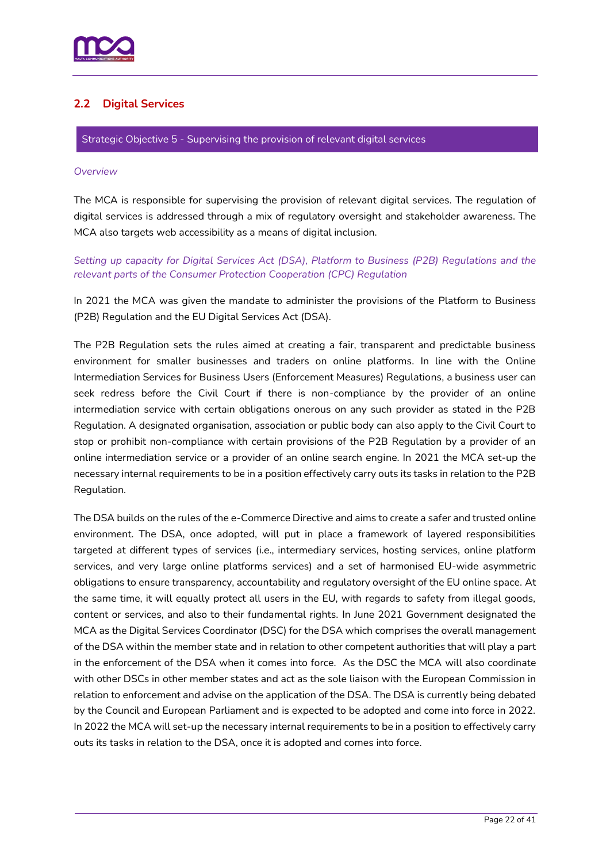

# <span id="page-21-0"></span>**2.2 Digital Services**

Strategic Objective 5 - Supervising the provision of relevant digital services

#### *Overview*

The MCA is responsible for supervising the provision of relevant digital services. The regulation of digital services is addressed through a mix of regulatory oversight and stakeholder awareness. The MCA also targets web accessibility as a means of digital inclusion.

### *Setting up capacity for Digital Services Act (DSA), Platform to Business (P2B) Regulations and the relevant parts of the Consumer Protection Cooperation (CPC) Regulation*

In 2021 the MCA was given the mandate to administer the provisions of the Platform to Business (P2B) Regulation and the EU Digital Services Act (DSA).

The P2B Regulation sets the rules aimed at creating a fair, transparent and predictable business environment for smaller businesses and traders on online platforms. In line with the Online Intermediation Services for Business Users (Enforcement Measures) Regulations, a business user can seek redress before the Civil Court if there is non-compliance by the provider of an online intermediation service with certain obligations onerous on any such provider as stated in the P2B Regulation. A designated organisation, association or public body can also apply to the Civil Court to stop or prohibit non-compliance with certain provisions of the P2B Regulation by a provider of an online intermediation service or a provider of an online search engine. In 2021 the MCA set-up the necessary internal requirements to be in a position effectively carry outs its tasks in relation to the P2B Regulation.

The DSA builds on the rules of the e-Commerce Directive and aims to create a safer and trusted online environment. The DSA, once adopted, will put in place a framework of layered responsibilities targeted at different types of services (i.e., intermediary services, hosting services, online platform services, and very large online platforms services) and a set of harmonised EU-wide asymmetric obligations to ensure transparency, accountability and regulatory oversight of the EU online space. At the same time, it will equally protect all users in the EU, with regards to safety from illegal goods, content or services, and also to their fundamental rights. In June 2021 Government designated the MCA as the Digital Services Coordinator (DSC) for the DSA which comprises the overall management of the DSA within the member state and in relation to other competent authorities that will play a part in the enforcement of the DSA when it comes into force. As the DSC the MCA will also coordinate with other DSCs in other member states and act as the sole liaison with the European Commission in relation to enforcement and advise on the application of the DSA. The DSA is currently being debated by the Council and European Parliament and is expected to be adopted and come into force in 2022. In 2022 the MCA will set-up the necessary internal requirements to be in a position to effectively carry outs its tasks in relation to the DSA, once it is adopted and comes into force.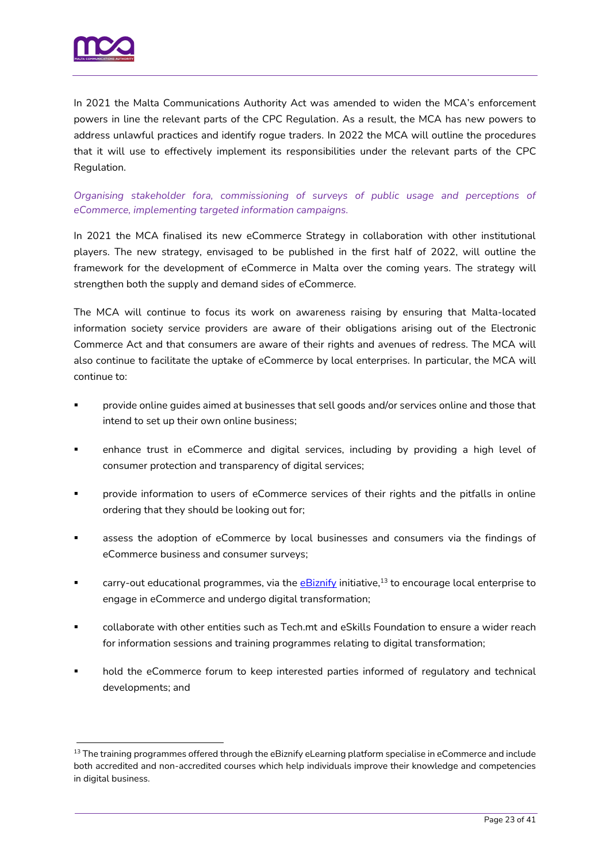

In 2021 the Malta Communications Authority Act was amended to widen the MCA's enforcement powers in line the relevant parts of the CPC Regulation. As a result, the MCA has new powers to address unlawful practices and identify rogue traders. In 2022 the MCA will outline the procedures that it will use to effectively implement its responsibilities under the relevant parts of the CPC Regulation.

*Organising stakeholder fora, commissioning of surveys of public usage and perceptions of eCommerce, implementing targeted information campaigns.*

In 2021 the MCA finalised its new eCommerce Strategy in collaboration with other institutional players. The new strategy, envisaged to be published in the first half of 2022, will outline the framework for the development of eCommerce in Malta over the coming years. The strategy will strengthen both the supply and demand sides of eCommerce.

The MCA will continue to focus its work on awareness raising by ensuring that Malta-located information society service providers are aware of their obligations arising out of the Electronic Commerce Act and that consumers are aware of their rights and avenues of redress. The MCA will also continue to facilitate the uptake of eCommerce by local enterprises. In particular, the MCA will continue to:

- provide online guides aimed at businesses that sell goods and/or services online and those that intend to set up their own online business;
- enhance trust in eCommerce and digital services, including by providing a high level of consumer protection and transparency of digital services;
- provide information to users of eCommerce services of their rights and the pitfalls in online ordering that they should be looking out for;
- assess the adoption of eCommerce by local businesses and consumers via the findings of eCommerce business and consumer surveys;
- **carry-out educational programmes, via the** *eBiznify* **initiative,<sup>13</sup> to encourage local enterprise to** engage in eCommerce and undergo digital transformation;
- collaborate with other entities such as Tech.mt and eSkills Foundation to ensure a wider reach for information sessions and training programmes relating to digital transformation;
- hold the eCommerce forum to keep interested parties informed of regulatory and technical developments; and

<sup>&</sup>lt;sup>13</sup> The training programmes offered through the eBiznify eLearning platform specialise in eCommerce and include both accredited and non-accredited courses which help individuals improve their knowledge and competencies in digital business.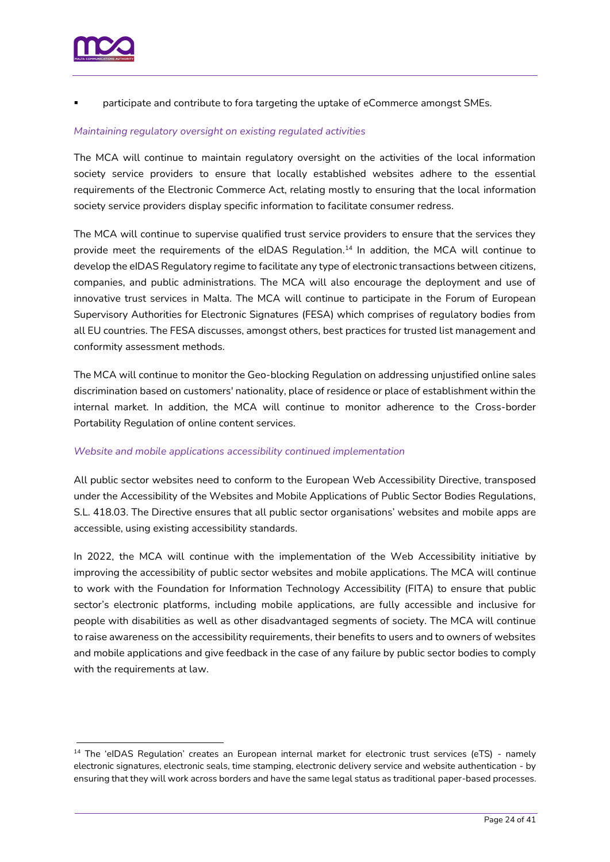participate and contribute to fora targeting the uptake of eCommerce amongst SMEs.

#### *Maintaining regulatory oversight on existing regulated activities*

The MCA will continue to maintain regulatory oversight on the activities of the local information society service providers to ensure that locally established websites adhere to the essential requirements of the Electronic Commerce Act, relating mostly to ensuring that the local information society service providers display specific information to facilitate consumer redress.

The MCA will continue to supervise qualified trust service providers to ensure that the services they provide meet the requirements of the eIDAS Regulation. <sup>14</sup> In addition, the MCA will continue to develop the eIDAS Regulatory regime to facilitate any type of electronic transactions between citizens, companies, and public administrations. The MCA will also encourage the deployment and use of innovative trust services in Malta. The MCA will continue to participate in the Forum of European Supervisory Authorities for Electronic Signatures (FESA) which comprises of regulatory bodies from all EU countries. The FESA discusses, amongst others, best practices for trusted list management and conformity assessment methods.

The MCA will continue to monitor the Geo-blocking Regulation on addressing unjustified online sales discrimination based on customers' nationality, place of residence or place of establishment within the internal market. In addition, the MCA will continue to monitor adherence to the Cross-border Portability Regulation of online content services.

#### *Website and mobile applications accessibility continued implementation*

All public sector websites need to conform to the European Web Accessibility Directive, transposed under the Accessibility of the Websites and Mobile Applications of Public Sector Bodies Regulations, S.L. 418.03. The Directive ensures that all public sector organisations' websites and mobile apps are accessible, using existing accessibility standards.

In 2022, the MCA will continue with the implementation of the Web Accessibility initiative by improving the accessibility of public sector websites and mobile applications. The MCA will continue to work with the Foundation for Information Technology Accessibility (FITA) to ensure that public sector's electronic platforms, including mobile applications, are fully accessible and inclusive for people with disabilities as well as other disadvantaged segments of society. The MCA will continue to raise awareness on the accessibility requirements, their benefits to users and to owners of websites and mobile applications and give feedback in the case of any failure by public sector bodies to comply with the requirements at law.

<sup>&</sup>lt;sup>14</sup> The 'eIDAS Regulation' creates an European internal market for electronic trust services (eTS) - namely electronic signatures, electronic seals, time stamping, electronic delivery service and website authentication - by ensuring that they will work across borders and have the same legal status as traditional paper-based processes.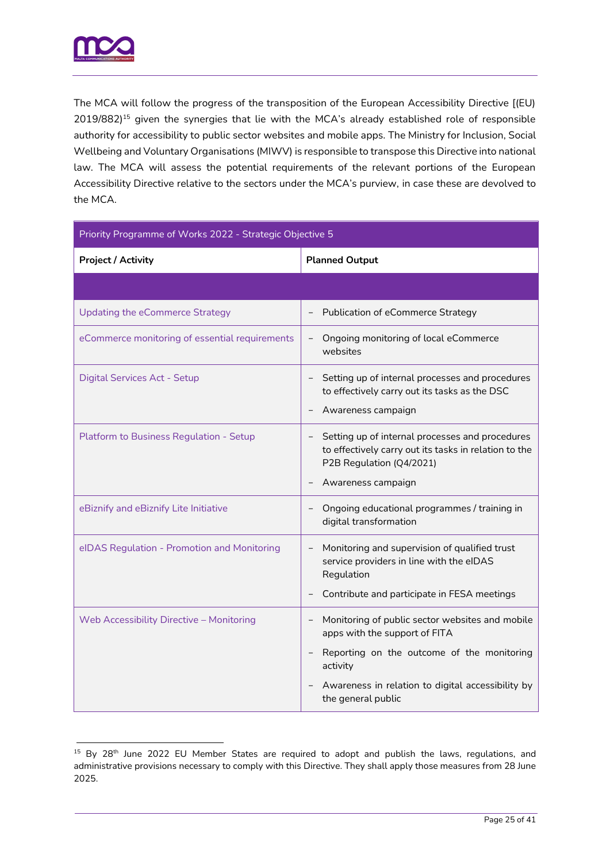

The MCA will follow the progress of the transposition of the European Accessibility Directive [(EU) 2019/882)<sup>15</sup> given the synergies that lie with the MCA's already established role of responsible authority for accessibility to public sector websites and mobile apps. The Ministry for Inclusion, Social Wellbeing and Voluntary Organisations (MIWV) is responsible to transpose this Directive into national law. The MCA will assess the potential requirements of the relevant portions of the European Accessibility Directive relative to the sectors under the MCA's purview, in case these are devolved to the MCA.

| Priority Programme of Works 2022 - Strategic Objective 5 |                                                                                                                                                                                                                                                   |  |
|----------------------------------------------------------|---------------------------------------------------------------------------------------------------------------------------------------------------------------------------------------------------------------------------------------------------|--|
| <b>Project / Activity</b>                                | <b>Planned Output</b>                                                                                                                                                                                                                             |  |
|                                                          |                                                                                                                                                                                                                                                   |  |
| <b>Updating the eCommerce Strategy</b>                   | Publication of eCommerce Strategy                                                                                                                                                                                                                 |  |
| eCommerce monitoring of essential requirements           | Ongoing monitoring of local eCommerce<br>$\overline{\phantom{a}}$<br>websites                                                                                                                                                                     |  |
| Digital Services Act - Setup                             | Setting up of internal processes and procedures<br>to effectively carry out its tasks as the DSC<br>Awareness campaign                                                                                                                            |  |
| Platform to Business Regulation - Setup                  | Setting up of internal processes and procedures<br>$\qquad \qquad -$<br>to effectively carry out its tasks in relation to the<br>P2B Regulation (Q4/2021)<br>Awareness campaign                                                                   |  |
| eBiznify and eBiznify Lite Initiative                    | Ongoing educational programmes / training in<br>digital transformation                                                                                                                                                                            |  |
| elDAS Regulation - Promotion and Monitoring              | Monitoring and supervision of qualified trust<br>service providers in line with the eIDAS<br>Regulation<br>Contribute and participate in FESA meetings                                                                                            |  |
| Web Accessibility Directive - Monitoring                 | Monitoring of public sector websites and mobile<br>$\overline{\phantom{a}}$<br>apps with the support of FITA<br>Reporting on the outcome of the monitoring<br>activity<br>Awareness in relation to digital accessibility by<br>the general public |  |

<sup>&</sup>lt;sup>15</sup> By 28<sup>th</sup> June 2022 EU Member States are required to adopt and publish the laws, regulations, and administrative provisions necessary to comply with this Directive. They shall apply those measures from 28 June 2025.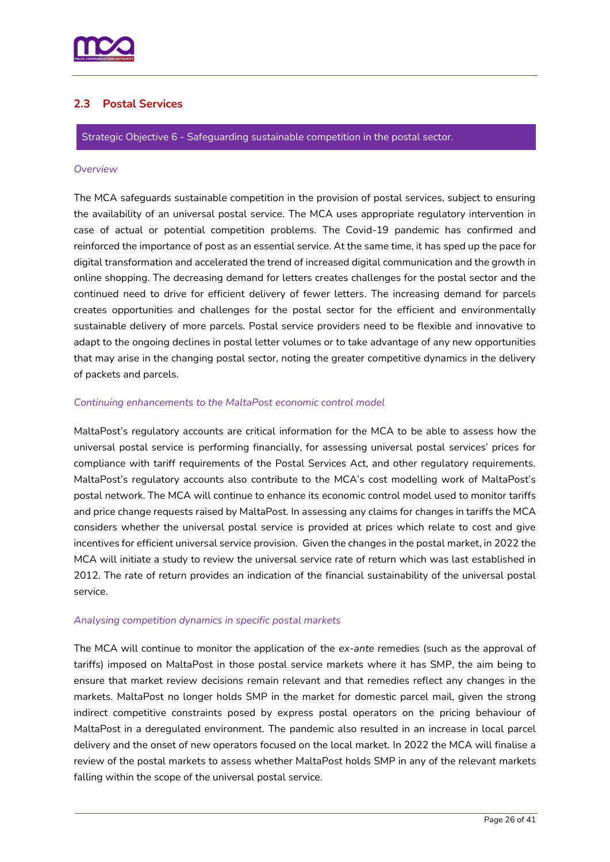

# <span id="page-25-0"></span>**2.3 Postal Services**

Strategic Objective 6 - Safeguarding sustainable competition in the postal sector.

#### *Overview*

The MCA safeguards sustainable competition in the provision of postal services, subject to ensuring the availability of an universal postal service. The MCA uses appropriate regulatory intervention in case of actual or potential competition problems. The Covid-19 pandemic has confirmed and reinforced the importance of post as an essential service. At the same time, it has sped up the pace for digital transformation and accelerated the trend of increased digital communication and the growth in online shopping. The decreasing demand for letters creates challenges for the postal sector and the continued need to drive for efficient delivery of fewer letters. The increasing demand for parcels creates opportunities and challenges for the postal sector for the efficient and environmentally sustainable delivery of more parcels. Postal service providers need to be flexible and innovative to adapt to the ongoing declines in postal letter volumes or to take advantage of any new opportunities that may arise in the changing postal sector, noting the greater competitive dynamics in the delivery of packets and parcels.

#### *Continuing enhancements to the MaltaPost economic control model*

MaltaPost's regulatory accounts are critical information for the MCA to be able to assess how the universal postal service is performing financially, for assessing universal postal services' prices for compliance with tariff requirements of the Postal Services Act, and other regulatory requirements. MaltaPost's regulatory accounts also contribute to the MCA's cost modelling work of MaltaPost's postal network. The MCA will continue to enhance its economic control model used to monitor tariffs and price change requests raised by MaltaPost. In assessing any claims for changes in tariffs the MCA considers whether the universal postal service is provided at prices which relate to cost and give incentives for efficient universal service provision. Given the changes in the postal market, in 2022 the MCA will initiate a study to review the universal service rate of return which was last established in 2012. The rate of return provides an indication of the financial sustainability of the universal postal service.

#### *Analysing competition dynamics in specific postal markets*

The MCA will continue to monitor the application of the *ex-ante* remedies (such as the approval of tariffs) imposed on MaltaPost in those postal service markets where it has SMP, the aim being to ensure that market review decisions remain relevant and that remedies reflect any changes in the markets. MaltaPost no longer holds SMP in the market for domestic parcel mail, given the strong indirect competitive constraints posed by express postal operators on the pricing behaviour of MaltaPost in a deregulated environment. The pandemic also resulted in an increase in local parcel delivery and the onset of new operators focused on the local market. In 2022 the MCA will finalise a review of the postal markets to assess whether MaltaPost holds SMP in any of the relevant markets falling within the scope of the universal postal service.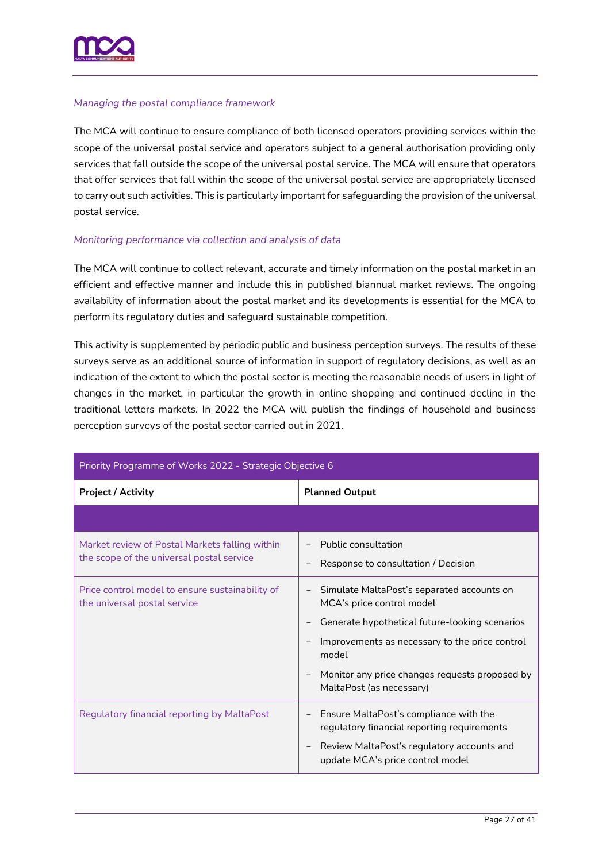

#### *Managing the postal compliance framework*

The MCA will continue to ensure compliance of both licensed operators providing services within the scope of the universal postal service and operators subject to a general authorisation providing only services that fall outside the scope of the universal postal service. The MCA will ensure that operators that offer services that fall within the scope of the universal postal service are appropriately licensed to carry out such activities. This is particularly important for safeguarding the provision of the universal postal service.

#### *Monitoring performance via collection and analysis of data*

The MCA will continue to collect relevant, accurate and timely information on the postal market in an efficient and effective manner and include this in published biannual market reviews. The ongoing availability of information about the postal market and its developments is essential for the MCA to perform its regulatory duties and safeguard sustainable competition.

This activity is supplemented by periodic public and business perception surveys. The results of these surveys serve as an additional source of information in support of regulatory decisions, as well as an indication of the extent to which the postal sector is meeting the reasonable needs of users in light of changes in the market, in particular the growth in online shopping and continued decline in the traditional letters markets. In 2022 the MCA will publish the findings of household and business perception surveys of the postal sector carried out in 2021.

| Priority Programme of Works 2022 - Strategic Objective 6                                    |                                                                                       |  |
|---------------------------------------------------------------------------------------------|---------------------------------------------------------------------------------------|--|
| <b>Project / Activity</b>                                                                   | <b>Planned Output</b>                                                                 |  |
|                                                                                             |                                                                                       |  |
| Market review of Postal Markets falling within<br>the scope of the universal postal service | Public consultation<br>Response to consultation / Decision                            |  |
| Price control model to ensure sustainability of<br>the universal postal service             | Simulate MaltaPost's separated accounts on<br>MCA's price control model               |  |
|                                                                                             | Generate hypothetical future-looking scenarios                                        |  |
|                                                                                             | Improvements as necessary to the price control<br>model                               |  |
|                                                                                             | Monitor any price changes requests proposed by<br>MaltaPost (as necessary)            |  |
| Regulatory financial reporting by MaltaPost                                                 | Ensure MaltaPost's compliance with the<br>regulatory financial reporting requirements |  |
|                                                                                             | Review MaltaPost's regulatory accounts and<br>update MCA's price control model        |  |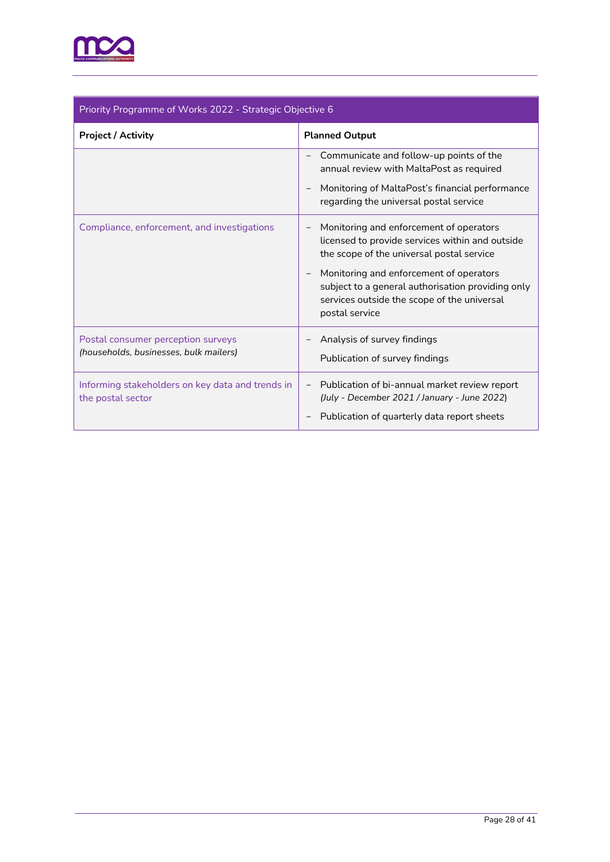

| Priority Programme of Works 2022 - Strategic Objective 6                     |                                                                                                                                                                          |  |
|------------------------------------------------------------------------------|--------------------------------------------------------------------------------------------------------------------------------------------------------------------------|--|
| <b>Project / Activity</b>                                                    | <b>Planned Output</b>                                                                                                                                                    |  |
|                                                                              | Communicate and follow-up points of the<br>annual review with MaltaPost as required                                                                                      |  |
|                                                                              | Monitoring of MaltaPost's financial performance<br>$\qquad \qquad -$<br>regarding the universal postal service                                                           |  |
| Compliance, enforcement, and investigations                                  | Monitoring and enforcement of operators<br>licensed to provide services within and outside<br>the scope of the universal postal service                                  |  |
|                                                                              | Monitoring and enforcement of operators<br>subject to a general authorisation providing only<br>services outside the scope of the universal<br>postal service            |  |
| Postal consumer perception surveys<br>(households, businesses, bulk mailers) | Analysis of survey findings<br>Publication of survey findings                                                                                                            |  |
| Informing stakeholders on key data and trends in<br>the postal sector        | Publication of bi-annual market review report<br>$\overline{\phantom{a}}$<br>(July - December 2021 / January - June 2022)<br>Publication of quarterly data report sheets |  |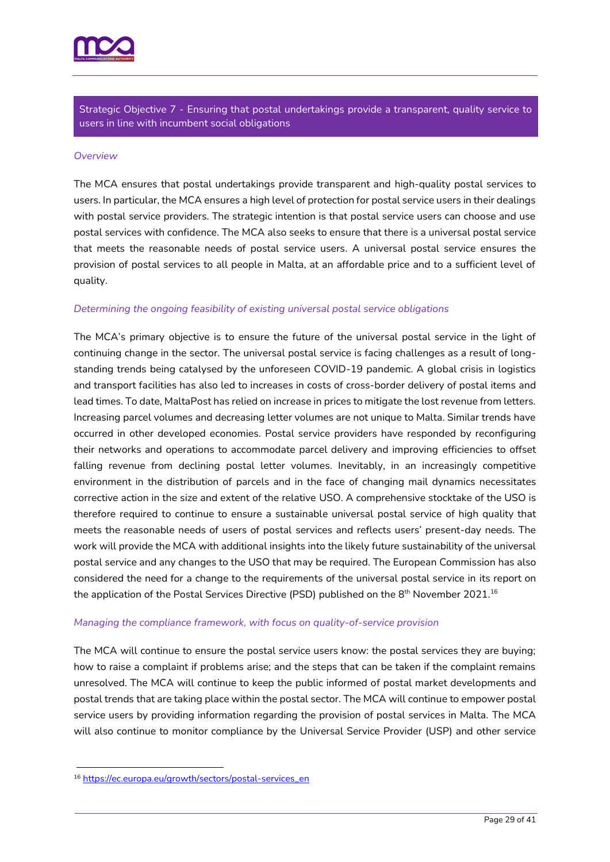

Strategic Objective 7 - Ensuring that postal undertakings provide a transparent, quality service to users in line with incumbent social obligations

#### *Overview*

The MCA ensures that postal undertakings provide transparent and high-quality postal services to users. In particular, the MCA ensures a high level of protection for postal service users in their dealings with postal service providers. The strategic intention is that postal service users can choose and use postal services with confidence. The MCA also seeks to ensure that there is a universal postal service that meets the reasonable needs of postal service users. A universal postal service ensures the provision of postal services to all people in Malta, at an affordable price and to a sufficient level of quality.

#### *Determining the ongoing feasibility of existing universal postal service obligations*

The MCA's primary objective is to ensure the future of the universal postal service in the light of continuing change in the sector. The universal postal service is facing challenges as a result of longstanding trends being catalysed by the unforeseen COVID-19 pandemic. A global crisis in logistics and transport facilities has also led to increases in costs of cross-border delivery of postal items and lead times. To date, MaltaPost has relied on increase in prices to mitigate the lost revenue from letters. Increasing parcel volumes and decreasing letter volumes are not unique to Malta. Similar trends have occurred in other developed economies. Postal service providers have responded by reconfiguring their networks and operations to accommodate parcel delivery and improving efficiencies to offset falling revenue from declining postal letter volumes. Inevitably, in an increasingly competitive environment in the distribution of parcels and in the face of changing mail dynamics necessitates corrective action in the size and extent of the relative USO. A comprehensive stocktake of the USO is therefore required to continue to ensure a sustainable universal postal service of high quality that meets the reasonable needs of users of postal services and reflects users' present-day needs. The work will provide the MCA with additional insights into the likely future sustainability of the universal postal service and any changes to the USO that may be required. The European Commission has also considered the need for a change to the requirements of the universal postal service in its report on the application of the Postal Services Directive (PSD) published on the 8th November 2021.  $^{16}$ 

#### *Managing the compliance framework, with focus on quality-of-service provision*

The MCA will continue to ensure the postal service users know: the postal services they are buying; how to raise a complaint if problems arise; and the steps that can be taken if the complaint remains unresolved. The MCA will continue to keep the public informed of postal market developments and postal trends that are taking place within the postal sector. The MCA will continue to empower postal service users by providing information regarding the provision of postal services in Malta. The MCA will also continue to monitor compliance by the Universal Service Provider (USP) and other service

<sup>16</sup> [https://ec.europa.eu/growth/sectors/postal-services\\_en](https://ec.europa.eu/growth/sectors/postal-services_en)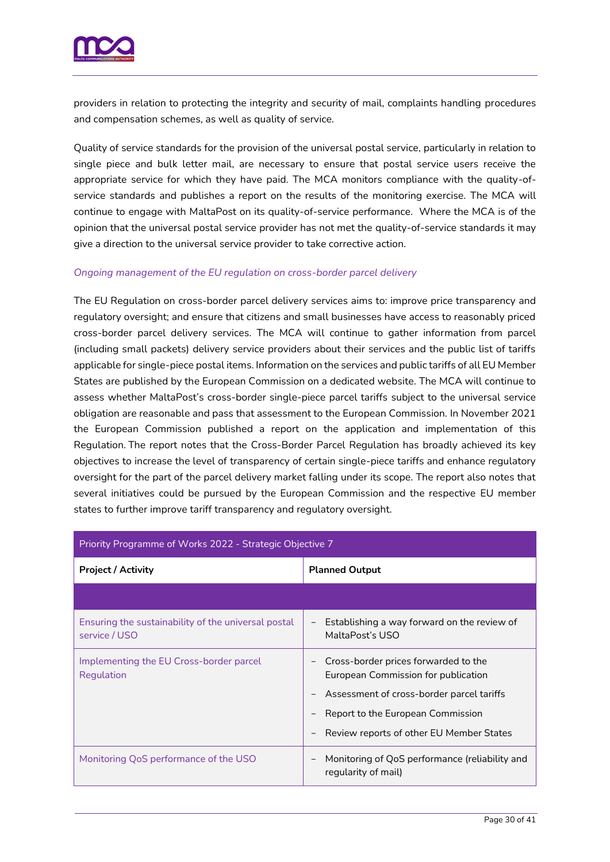

providers in relation to protecting the integrity and security of mail, complaints handling procedures and compensation schemes, as well as quality of service.

Quality of service standards for the provision of the universal postal service, particularly in relation to single piece and bulk letter mail, are necessary to ensure that postal service users receive the appropriate service for which they have paid. The MCA monitors compliance with the quality-ofservice standards and publishes a report on the results of the monitoring exercise. The MCA will continue to engage with MaltaPost on its quality-of-service performance. Where the MCA is of the opinion that the universal postal service provider has not met the quality-of-service standards it may give a direction to the universal service provider to take corrective action.

#### *Ongoing management of the EU regulation on cross-border parcel delivery*

The EU Regulation on cross-border parcel delivery services aims to: improve price transparency and regulatory oversight; and ensure that citizens and small businesses have access to reasonably priced cross-border parcel delivery services. The MCA will continue to gather information from parcel (including small packets) delivery service providers about their services and the public list of tariffs applicable for single-piece postal items. Information on the services and public tariffs of all EU Member States are published by the European Commission on a dedicated website. The MCA will continue to assess whether MaltaPost's cross-border single-piece parcel tariffs subject to the universal service obligation are reasonable and pass that assessment to the European Commission. In November 2021 the European Commission published a report on the application and implementation of this Regulation. The report notes that the Cross-Border Parcel Regulation has broadly achieved its key objectives to increase the level of transparency of certain single-piece tariffs and enhance regulatory oversight for the part of the parcel delivery market falling under its scope. The report also notes that several initiatives could be pursued by the European Commission and the respective EU member states to further improve tariff transparency and regulatory oversight.

| Priority Programme of Works 2022 - Strategic Objective 7             |                                                                                                           |  |
|----------------------------------------------------------------------|-----------------------------------------------------------------------------------------------------------|--|
| <b>Project / Activity</b>                                            | <b>Planned Output</b>                                                                                     |  |
|                                                                      |                                                                                                           |  |
| Ensuring the sustainability of the universal postal<br>service / USO | Establishing a way forward on the review of<br>$\qquad \qquad -$<br>MaltaPost's USO                       |  |
| Implementing the EU Cross-border parcel<br>Regulation                | Cross-border prices forwarded to the<br>European Commission for publication                               |  |
|                                                                      | Assessment of cross-border parcel tariffs                                                                 |  |
|                                                                      | Report to the European Commission                                                                         |  |
|                                                                      | Review reports of other EU Member States                                                                  |  |
| Monitoring QoS performance of the USO                                | Monitoring of QoS performance (reliability and<br>$\overbrace{\phantom{12322111}}$<br>regularity of mail) |  |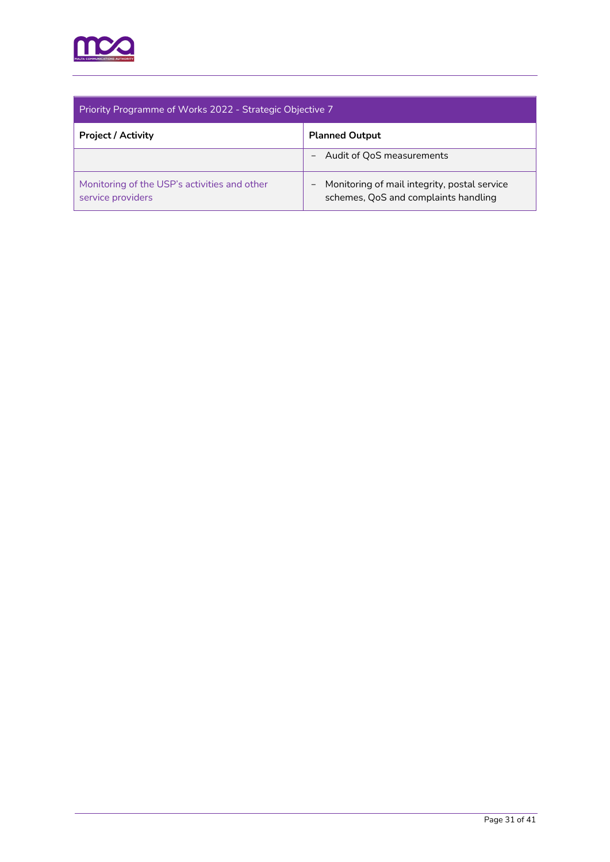

| Priority Programme of Works 2022 - Strategic Objective 7          |                                                                                                           |  |
|-------------------------------------------------------------------|-----------------------------------------------------------------------------------------------------------|--|
| <b>Project / Activity</b>                                         | <b>Planned Output</b>                                                                                     |  |
|                                                                   | Audit of QoS measurements                                                                                 |  |
| Monitoring of the USP's activities and other<br>service providers | Monitoring of mail integrity, postal service<br>$\qquad \qquad -$<br>schemes, QoS and complaints handling |  |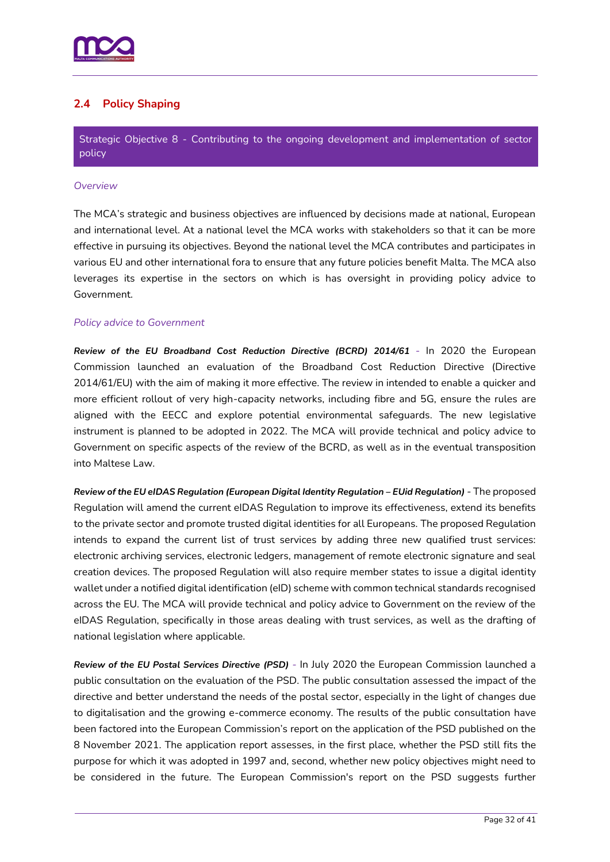

# <span id="page-31-0"></span>**2.4 Policy Shaping**

Strategic Objective 8 - Contributing to the ongoing development and implementation of sector policy

#### *Overview*

The MCA's strategic and business objectives are influenced by decisions made at national, European and international level. At a national level the MCA works with stakeholders so that it can be more effective in pursuing its objectives. Beyond the national level the MCA contributes and participates in various EU and other international fora to ensure that any future policies benefit Malta. The MCA also leverages its expertise in the sectors on which is has oversight in providing policy advice to Government.

#### *Policy advice to Government*

*Review of the EU Broadband Cost Reduction Directive (BCRD) 2014/61 -* In 2020 the European Commission launched an evaluation of the Broadband Cost Reduction Directive (Directive 2014/61/EU) with the aim of making it more effective. The review in intended to enable a quicker and more efficient rollout of very high-capacity networks, including fibre and 5G, ensure the rules are aligned with the EECC and explore potential environmental safeguards. The new legislative instrument is planned to be adopted in 2022. The MCA will provide technical and policy advice to Government on specific aspects of the review of the BCRD, as well as in the eventual transposition into Maltese Law.

*Review of the EU eIDAS Regulation (European Digital Identity Regulation – EUid Regulation) -* The proposed Regulation will amend the current eIDAS Regulation to improve its effectiveness, extend its benefits to the private sector and promote trusted digital identities for all Europeans. The proposed Regulation intends to expand the current list of trust services by adding three new qualified trust services: electronic archiving services, electronic ledgers, management of remote electronic signature and seal creation devices. The proposed Regulation will also require member states to issue a digital identity wallet under a notified digital identification (eID) scheme with common technical standards recognised across the EU. The MCA will provide technical and policy advice to Government on the review of the eIDAS Regulation, specifically in those areas dealing with trust services, as well as the drafting of national legislation where applicable.

*Review of the EU Postal Services Directive (PSD) -* In July 2020 the European Commission launched a public consultation on the evaluation of the PSD. The public consultation assessed the impact of the directive and better understand the needs of the postal sector, especially in the light of changes due to digitalisation and the growing e-commerce economy. The results of the public consultation have been factored into the European Commission's report on the application of the PSD published on the 8 November 2021. The application report assesses, in the first place, whether the PSD still fits the purpose for which it was adopted in 1997 and, second, whether new policy objectives might need to be considered in the future. The European Commission's report on the PSD suggests further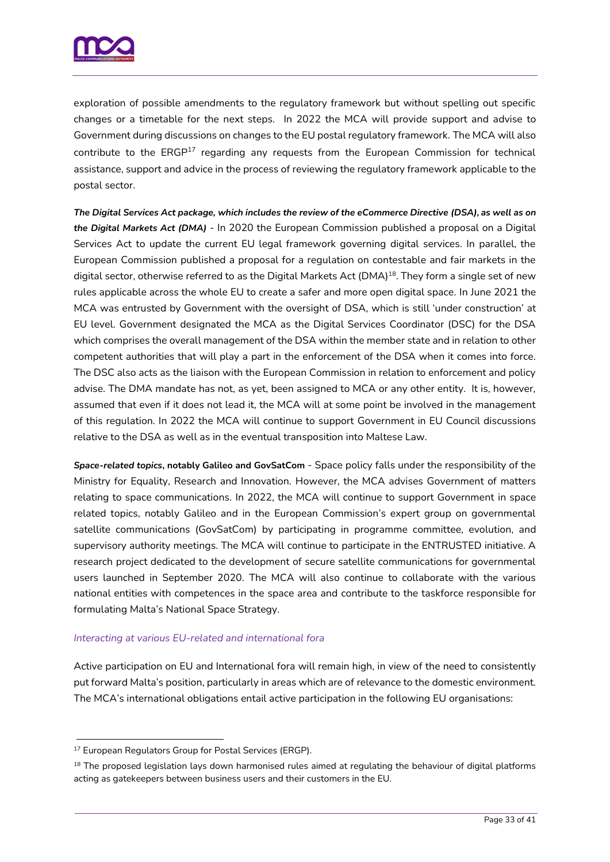

exploration of possible amendments to the regulatory framework but without spelling out specific changes or a timetable for the next steps. In 2022 the MCA will provide support and advise to Government during discussions on changes to the EU postal regulatory framework. The MCA will also contribute to the  $ERGP<sup>17</sup>$  regarding any requests from the European Commission for technical assistance, support and advice in the process of reviewing the regulatory framework applicable to the postal sector.

*The Digital Services Act package, which includes the review of the eCommerce Directive (DSA), as well as on the Digital Markets Act (DMA)* - In 2020 the European Commission published a proposal on a Digital Services Act to update the current EU legal framework governing digital services. In parallel, the European Commission published a proposal for a regulation on contestable and fair markets in the digital sector, otherwise referred to as the Digital Markets Act (DMA)<sup>18</sup>. They form a single set of new rules applicable across the whole EU to create a safer and more open digital space. In June 2021 the MCA was entrusted by Government with the oversight of DSA, which is still 'under construction' at EU level. Government designated the MCA as the Digital Services Coordinator (DSC) for the DSA which comprises the overall management of the DSA within the member state and in relation to other competent authorities that will play a part in the enforcement of the DSA when it comes into force. The DSC also acts as the liaison with the European Commission in relation to enforcement and policy advise. The DMA mandate has not, as yet, been assigned to MCA or any other entity. It is, however, assumed that even if it does not lead it, the MCA will at some point be involved in the management of this regulation. In 2022 the MCA will continue to support Government in EU Council discussions relative to the DSA as well as in the eventual transposition into Maltese Law.

*Space-related topics***, notably Galileo and GovSatCom** - Space policy falls under the responsibility of the Ministry for Equality, Research and Innovation. However, the MCA advises Government of matters relating to space communications. In 2022, the MCA will continue to support Government in space related topics, notably Galileo and in the European Commission's expert group on governmental satellite communications (GovSatCom) by participating in programme committee, evolution, and supervisory authority meetings. The MCA will continue to participate in the ENTRUSTED initiative. A research project dedicated to the development of secure satellite communications for governmental users launched in September 2020. The MCA will also continue to collaborate with the various national entities with competences in the space area and contribute to the taskforce responsible for formulating Malta's National Space Strategy.

#### *Interacting at various EU-related and international fora*

Active participation on EU and International fora will remain high, in view of the need to consistently put forward Malta's position, particularly in areas which are of relevance to the domestic environment. The MCA's international obligations entail active participation in the following EU organisations:

<sup>&</sup>lt;sup>17</sup> European Regulators Group for Postal Services (ERGP).

<sup>&</sup>lt;sup>18</sup> The proposed legislation lays down harmonised rules aimed at regulating the behaviour of digital platforms acting as gatekeepers between business users and their customers in the EU.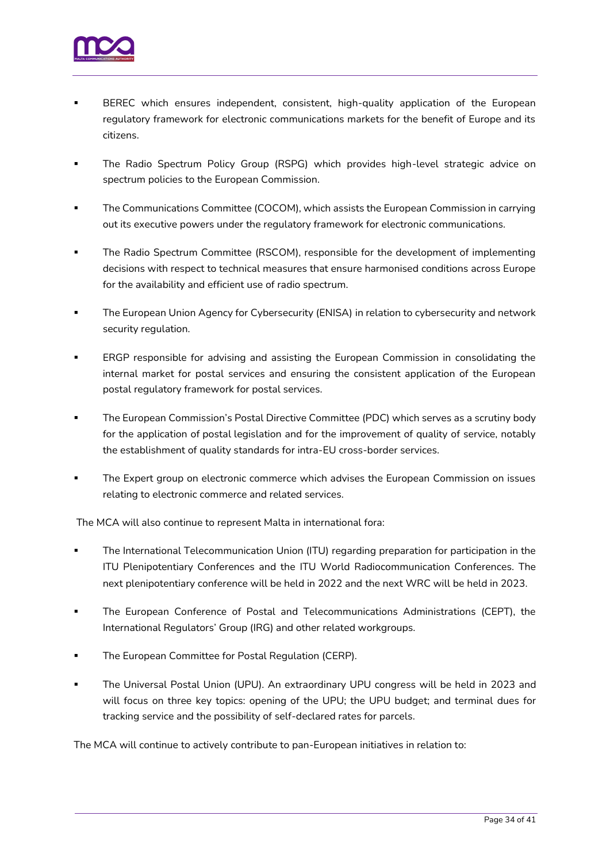

- BEREC which ensures independent, consistent, high-quality application of the European regulatory framework for electronic communications markets for the benefit of Europe and its citizens.
- The Radio Spectrum Policy Group (RSPG) which provides high-level strategic advice on spectrum policies to the European Commission.
- The Communications Committee (COCOM), which assists the European Commission in carrying out its executive powers under the regulatory framework for electronic communications.
- The Radio Spectrum Committee (RSCOM), responsible for the development of implementing decisions with respect to technical measures that ensure harmonised conditions across Europe for the availability and efficient use of radio spectrum.
- The European Union Agency for Cybersecurity (ENISA) in relation to cybersecurity and network security regulation.
- ERGP responsible for advising and assisting the European Commission in consolidating the internal market for postal services and ensuring the consistent application of the European postal regulatory framework for postal services.
- The European Commission's Postal Directive Committee (PDC) which serves as a scrutiny body for the application of postal legislation and for the improvement of quality of service, notably the establishment of quality standards for intra-EU cross-border services.
- The Expert group on electronic commerce which advises the European Commission on issues relating to electronic commerce and related services.

The MCA will also continue to represent Malta in international fora:

- The International Telecommunication Union (ITU) regarding preparation for participation in the ITU Plenipotentiary Conferences and the ITU World Radiocommunication Conferences. The next plenipotentiary conference will be held in 2022 and the next WRC will be held in 2023.
- The European Conference of Postal and Telecommunications Administrations (CEPT), the International Regulators' Group (IRG) and other related workgroups.
- The European Committee for Postal Regulation (CERP).
- The Universal Postal Union (UPU). An extraordinary UPU congress will be held in 2023 and will focus on three key topics: opening of the UPU; the UPU budget; and terminal dues for tracking service and the possibility of self-declared rates for parcels.

The MCA will continue to actively contribute to pan-European initiatives in relation to: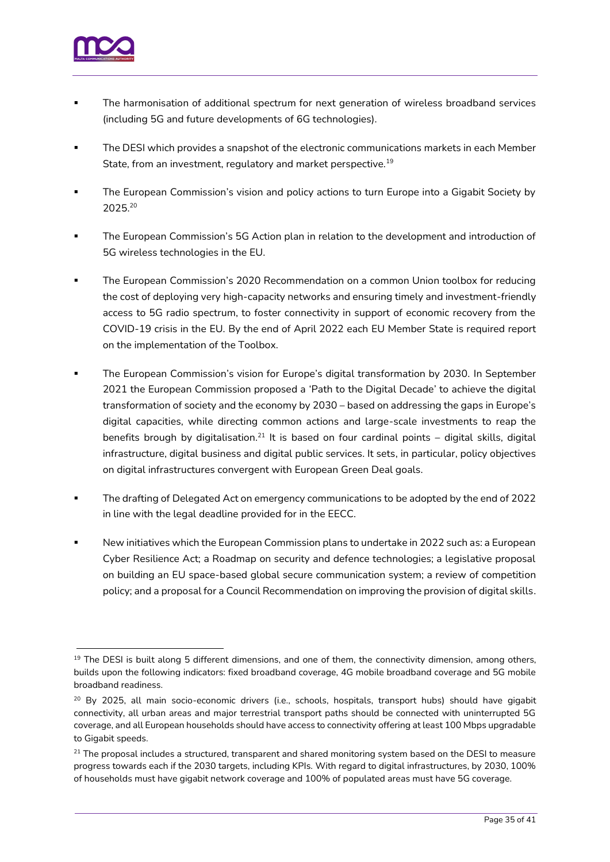

- The harmonisation of additional spectrum for next generation of wireless broadband services (including 5G and future developments of 6G technologies).
- The DESI which provides a snapshot of the electronic communications markets in each Member State, from an investment, regulatory and market perspective.<sup>19</sup>
- The European Commission's vision and policy actions to turn Europe into a Gigabit Society by 2025. 20
- The European Commission's 5G Action plan in relation to the development and introduction of 5G wireless technologies in the EU.
- The European Commission's 2020 Recommendation on a common Union toolbox for reducing the cost of deploying very high-capacity networks and ensuring timely and investment-friendly access to 5G radio spectrum, to foster connectivity in support of economic recovery from the COVID-19 crisis in the EU. By the end of April 2022 each EU Member State is required report on the implementation of the Toolbox.
- The European Commission's vision for Europe's digital transformation by 2030. In September 2021 the European Commission proposed a 'Path to the Digital Decade' to achieve the digital transformation of society and the economy by 2030 – based on addressing the gaps in Europe's digital capacities, while directing common actions and large-scale investments to reap the benefits brough by digitalisation.<sup>21</sup> It is based on four cardinal points – digital skills, digital infrastructure, digital business and digital public services. It sets, in particular, policy objectives on digital infrastructures convergent with European Green Deal goals.
- The drafting of Delegated Act on emergency communications to be adopted by the end of 2022 in line with the legal deadline provided for in the EECC.
- New initiatives which the European Commission plans to undertake in 2022 such as: a European Cyber Resilience Act; a Roadmap on security and defence technologies; a legislative proposal on building an EU space-based global secure communication system; a review of competition policy; and a proposal for a Council Recommendation on improving the provision of digital skills.

<sup>&</sup>lt;sup>19</sup> The DESI is built along 5 different dimensions, and one of them, the connectivity dimension, among others, builds upon the following indicators: fixed broadband coverage, 4G mobile broadband coverage and 5G mobile broadband readiness.

<sup>&</sup>lt;sup>20</sup> By 2025, all main socio-economic drivers (i.e., schools, hospitals, transport hubs) should have gigabit connectivity, all urban areas and major terrestrial transport paths should be connected with uninterrupted 5G coverage, and all European households should have access to connectivity offering at least 100 Mbps upgradable to Gigabit speeds.

 $21$  The proposal includes a structured, transparent and shared monitoring system based on the DESI to measure progress towards each if the 2030 targets, including KPIs. With regard to digital infrastructures, by 2030, 100% of households must have gigabit network coverage and 100% of populated areas must have 5G coverage.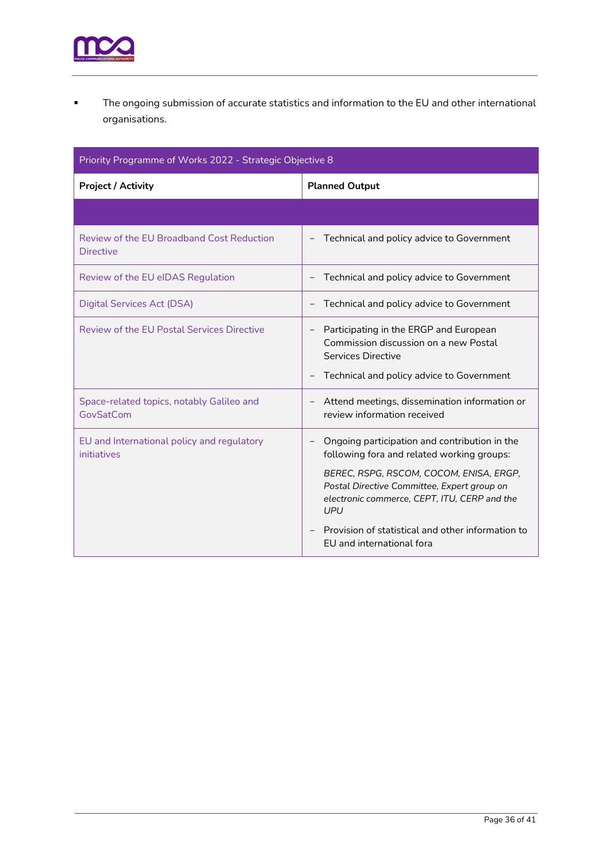

▪ The ongoing submission of accurate statistics and information to the EU and other international organisations.

| Priority Programme of Works 2022 - Strategic Objective 8      |                                                                                                                                                                                                                                                                                                                                       |  |  |  |  |
|---------------------------------------------------------------|---------------------------------------------------------------------------------------------------------------------------------------------------------------------------------------------------------------------------------------------------------------------------------------------------------------------------------------|--|--|--|--|
| <b>Project / Activity</b>                                     | <b>Planned Output</b>                                                                                                                                                                                                                                                                                                                 |  |  |  |  |
|                                                               |                                                                                                                                                                                                                                                                                                                                       |  |  |  |  |
| Review of the EU Broadband Cost Reduction<br><b>Directive</b> | Technical and policy advice to Government                                                                                                                                                                                                                                                                                             |  |  |  |  |
| Review of the EU eIDAS Regulation                             | Technical and policy advice to Government                                                                                                                                                                                                                                                                                             |  |  |  |  |
| <b>Digital Services Act (DSA)</b>                             | Technical and policy advice to Government                                                                                                                                                                                                                                                                                             |  |  |  |  |
| <b>Review of the EU Postal Services Directive</b>             | Participating in the ERGP and European<br>Commission discussion on a new Postal<br>Services Directive<br>Technical and policy advice to Government                                                                                                                                                                                    |  |  |  |  |
| Space-related topics, notably Galileo and<br>GovSatCom        | Attend meetings, dissemination information or<br>review information received                                                                                                                                                                                                                                                          |  |  |  |  |
| EU and International policy and regulatory<br>initiatives     | Ongoing participation and contribution in the<br>following fora and related working groups:<br>BEREC, RSPG, RSCOM, COCOM, ENISA, ERGP,<br>Postal Directive Committee, Expert group on<br>electronic commerce, CEPT, ITU, CERP and the<br><b>UPU</b><br>Provision of statistical and other information to<br>EU and international fora |  |  |  |  |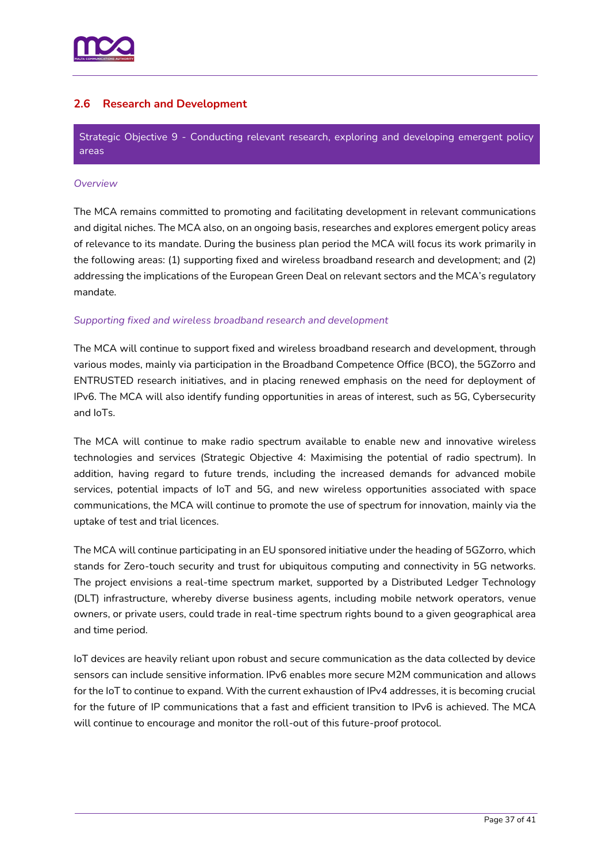

# <span id="page-36-0"></span>**2.6 Research and Development**

Strategic Objective 9 - Conducting relevant research, exploring and developing emergent policy areas

#### *Overview*

The MCA remains committed to promoting and facilitating development in relevant communications and digital niches. The MCA also, on an ongoing basis, researches and explores emergent policy areas of relevance to its mandate. During the business plan period the MCA will focus its work primarily in the following areas: (1) supporting fixed and wireless broadband research and development; and (2) addressing the implications of the European Green Deal on relevant sectors and the MCA's regulatory mandate.

#### *Supporting fixed and wireless broadband research and development*

The MCA will continue to support fixed and wireless broadband research and development, through various modes, mainly via participation in the Broadband Competence Office (BCO), the 5GZorro and ENTRUSTED research initiatives, and in placing renewed emphasis on the need for deployment of IPv6. The MCA will also identify funding opportunities in areas of interest, such as 5G, Cybersecurity and IoTs.

The MCA will continue to make radio spectrum available to enable new and innovative wireless technologies and services (Strategic Objective 4: Maximising the potential of radio spectrum). In addition, having regard to future trends, including the increased demands for advanced mobile services, potential impacts of IoT and 5G, and new wireless opportunities associated with space communications, the MCA will continue to promote the use of spectrum for innovation, mainly via the uptake of test and trial licences.

The MCA will continue participating in an EU sponsored initiative under the heading of 5GZorro, which stands for Zero-touch security and trust for ubiquitous computing and connectivity in 5G networks. The project envisions a real-time spectrum market, supported by a Distributed Ledger Technology (DLT) infrastructure, whereby diverse business agents, including mobile network operators, venue owners, or private users, could trade in real-time spectrum rights bound to a given geographical area and time period.

IoT devices are heavily reliant upon robust and secure communication as the data collected by device sensors can include sensitive information. IPv6 enables more secure M2M communication and allows for the IoT to continue to expand. With the current exhaustion of IPv4 addresses, it is becoming crucial for the future of IP communications that a fast and efficient transition to IPv6 is achieved. The MCA will continue to encourage and monitor the roll-out of this future-proof protocol.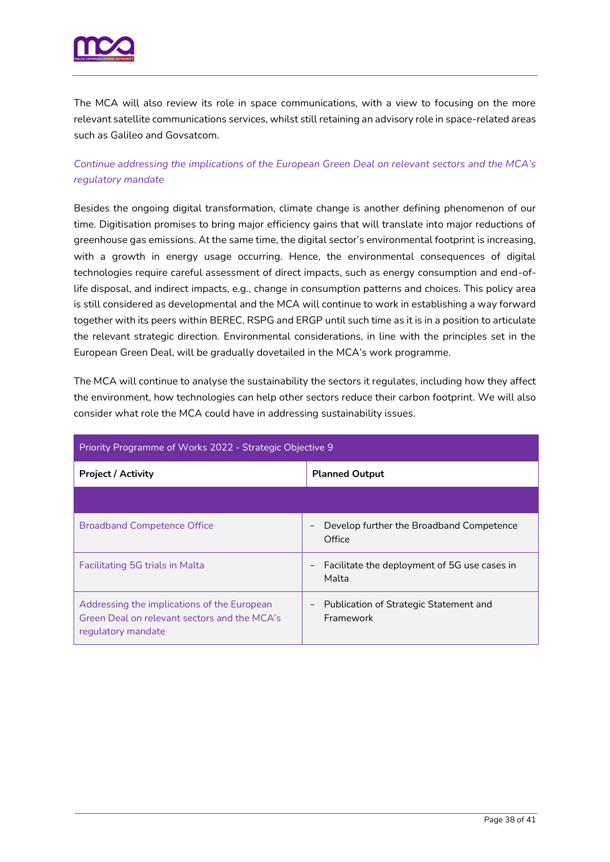

The MCA will also review its role in space communications, with a view to focusing on the more relevant satellite communications services, whilst still retaining an advisory role in space-related areas such as Galileo and Govsatcom.

# *Continue addressing the implications of the European Green Deal on relevant sectors and the MCA's regulatory mandate*

Besides the ongoing digital transformation, climate change is another defining phenomenon of our time. Digitisation promises to bring major efficiency gains that will translate into major reductions of greenhouse gas emissions. At the same time, the digital sector's environmental footprint is increasing, with a growth in energy usage occurring. Hence, the environmental consequences of digital technologies require careful assessment of direct impacts, such as energy consumption and end-oflife disposal, and indirect impacts, e.g., change in consumption patterns and choices. This policy area is still considered as developmental and the MCA will continue to work in establishing a way forward together with its peers within BEREC, RSPG and ERGP until such time as it is in a position to articulate the relevant strategic direction. Environmental considerations, in line with the principles set in the European Green Deal, will be gradually dovetailed in the MCA's work programme.

The MCA will continue to analyse the sustainability the sectors it regulates, including how they affect the environment, how technologies can help other sectors reduce their carbon footprint. We will also consider what role the MCA could have in addressing sustainability issues.

| Priority Programme of Works 2022 - Strategic Objective 9                                                          |                                                                            |  |  |  |  |
|-------------------------------------------------------------------------------------------------------------------|----------------------------------------------------------------------------|--|--|--|--|
| <b>Project / Activity</b>                                                                                         | <b>Planned Output</b>                                                      |  |  |  |  |
|                                                                                                                   |                                                                            |  |  |  |  |
| <b>Broadband Competence Office</b>                                                                                | Develop further the Broadband Competence<br>-<br>Office                    |  |  |  |  |
| <b>Facilitating 5G trials in Malta</b>                                                                            | Facilitate the deployment of 5G use cases in<br>$\qquad \qquad -$<br>Malta |  |  |  |  |
| Addressing the implications of the European<br>Green Deal on relevant sectors and the MCA's<br>regulatory mandate | Publication of Strategic Statement and<br>$\qquad \qquad -$<br>Framework   |  |  |  |  |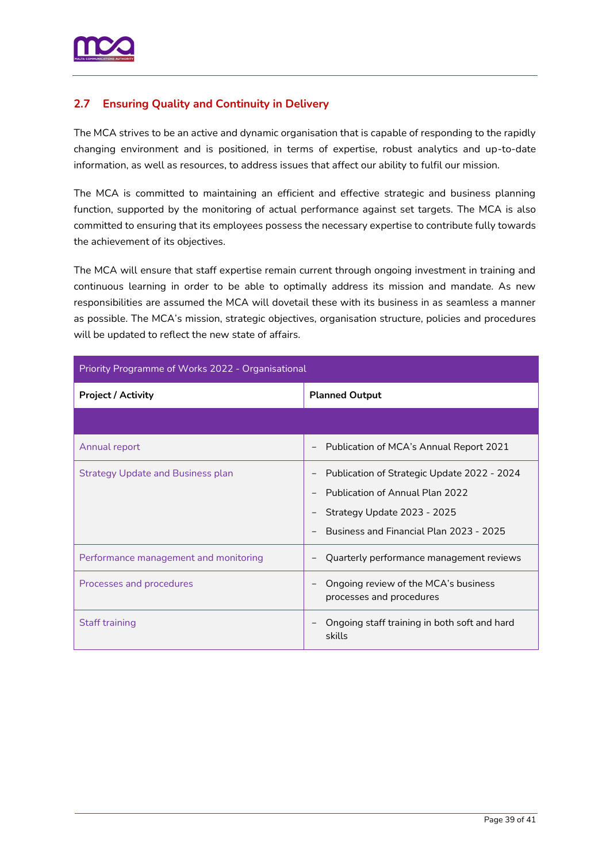

# <span id="page-38-0"></span>**2.7 Ensuring Quality and Continuity in Delivery**

The MCA strives to be an active and dynamic organisation that is capable of responding to the rapidly changing environment and is positioned, in terms of expertise, robust analytics and up-to-date information, as well as resources, to address issues that affect our ability to fulfil our mission.

The MCA is committed to maintaining an efficient and effective strategic and business planning function, supported by the monitoring of actual performance against set targets. The MCA is also committed to ensuring that its employees possess the necessary expertise to contribute fully towards the achievement of its objectives.

The MCA will ensure that staff expertise remain current through ongoing investment in training and continuous learning in order to be able to optimally address its mission and mandate. As new responsibilities are assumed the MCA will dovetail these with its business in as seamless a manner as possible. The MCA's mission, strategic objectives, organisation structure, policies and procedures will be updated to reflect the new state of affairs.

<span id="page-38-1"></span>

| Priority Programme of Works 2022 - Organisational |                                                                                                                                                                 |  |  |  |
|---------------------------------------------------|-----------------------------------------------------------------------------------------------------------------------------------------------------------------|--|--|--|
| <b>Project / Activity</b>                         | <b>Planned Output</b>                                                                                                                                           |  |  |  |
|                                                   |                                                                                                                                                                 |  |  |  |
| Annual report                                     | Publication of MCA's Annual Report 2021<br>$\qquad \qquad -$                                                                                                    |  |  |  |
| <b>Strategy Update and Business plan</b>          | Publication of Strategic Update 2022 - 2024<br><b>Publication of Annual Plan 2022</b><br>Strategy Update 2023 - 2025<br>Business and Financial Plan 2023 - 2025 |  |  |  |
| Performance management and monitoring             | Quarterly performance management reviews                                                                                                                        |  |  |  |
| Processes and procedures                          | Ongoing review of the MCA's business<br>processes and procedures                                                                                                |  |  |  |
| <b>Staff training</b>                             | Ongoing staff training in both soft and hard<br>skills                                                                                                          |  |  |  |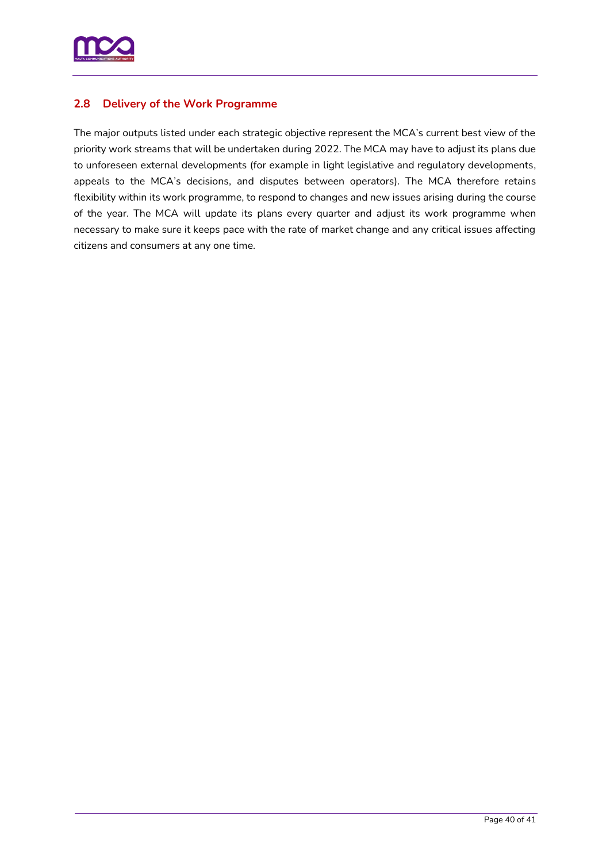

# **2.8 Delivery of the Work Programme**

The major outputs listed under each strategic objective represent the MCA's current best view of the priority work streams that will be undertaken during 2022. The MCA may have to adjust its plans due to unforeseen external developments (for example in light legislative and regulatory developments, appeals to the MCA's decisions, and disputes between operators). The MCA therefore retains flexibility within its work programme, to respond to changes and new issues arising during the course of the year. The MCA will update its plans every quarter and adjust its work programme when necessary to make sure it keeps pace with the rate of market change and any critical issues affecting citizens and consumers at any one time.